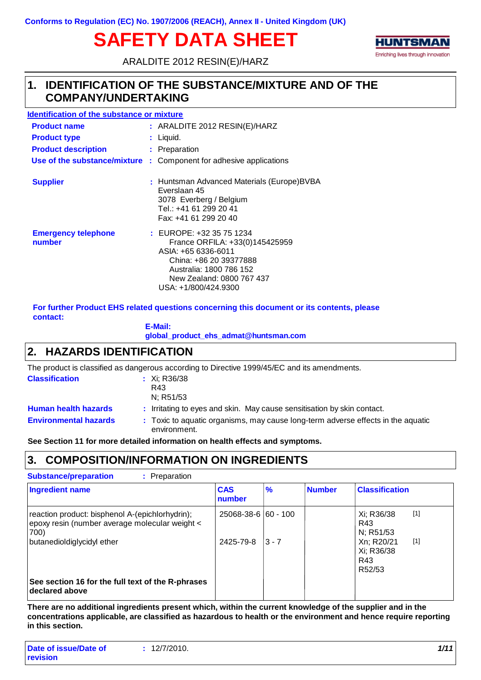

ARALDITE 2012 RESIN(E)/HARZ

# **IDENTIFICATION OF THE SUBSTANCE/MIXTURE AND OF THE 1. COMPANY/UNDERTAKING**

#### **Identification of the substance or mixture**

| <b>Product name</b>                  | : ARALDITE 2012 RESIN(E)/HARZ                                                                                                                                                                   |
|--------------------------------------|-------------------------------------------------------------------------------------------------------------------------------------------------------------------------------------------------|
| <b>Product type</b>                  | : Liquid.                                                                                                                                                                                       |
| <b>Product description</b>           | : Preparation                                                                                                                                                                                   |
| Use of the substance/mixture         | : Component for adhesive applications                                                                                                                                                           |
| <b>Supplier</b>                      | : Huntsman Advanced Materials (Europe)BVBA<br>Everslaan 45<br>3078 Everberg / Belgium<br>Tel.: +41 61 299 20 41<br>Fax: +41 61 299 20 40                                                        |
| <b>Emergency telephone</b><br>number | $\pm$ EUROPE: +32 35 75 1234<br>France ORFILA: +33(0)145425959<br>ASIA: +65 6336-6011<br>China: +86 20 39377888<br>Australia: 1800 786 152<br>New Zealand: 0800 767 437<br>USA: +1/800/424.9300 |

**For further Product EHS related questions concerning this document or its contents, please contact:**

#### **E-Mail: global\_product\_ehs\_admat@huntsman.com**

# **2. HAZARDS IDENTIFICATION**

The product is classified as dangerous according to Directive 1999/45/EC and its amendments.

| <b>Classification</b>        | $\div$ Xi; R36/38<br>R43<br>N: R51/53                                                            |
|------------------------------|--------------------------------------------------------------------------------------------------|
| <b>Human health hazards</b>  | : Irritating to eyes and skin. May cause sensitisation by skin contact.                          |
| <b>Environmental hazards</b> | : Toxic to aquatic organisms, may cause long-term adverse effects in the aquatic<br>environment. |

**See Section 11 for more detailed information on health effects and symptoms.**

# **3. COMPOSITION/INFORMATION ON INGREDIENTS**

| <b>Ingredient name</b>                                                                                                                  | <b>CAS</b><br>number             | $\frac{9}{6}$ | <b>Number</b> | <b>Classification</b>                                                                         |  |  |  |
|-----------------------------------------------------------------------------------------------------------------------------------------|----------------------------------|---------------|---------------|-----------------------------------------------------------------------------------------------|--|--|--|
| reaction product: bisphenol A-(epichlorhydrin);<br>epoxy resin (number average molecular weight <<br>700)<br>butanedioldiglycidyl ether | 25068-38-6 60 - 100<br>2425-79-8 | $3 - 7$       |               | $[1]$<br>Xi; R36/38<br>R43<br>N; R51/53<br>$[1]$<br>Xn; R20/21<br>Xi; R36/38<br>R43<br>R52/53 |  |  |  |
| See section 16 for the full text of the R-phrases<br>declared above                                                                     |                                  |               |               |                                                                                               |  |  |  |

**There are no additional ingredients present which, within the current knowledge of the supplier and in the concentrations applicable, are classified as hazardous to health or the environment and hence require reporting in this section.**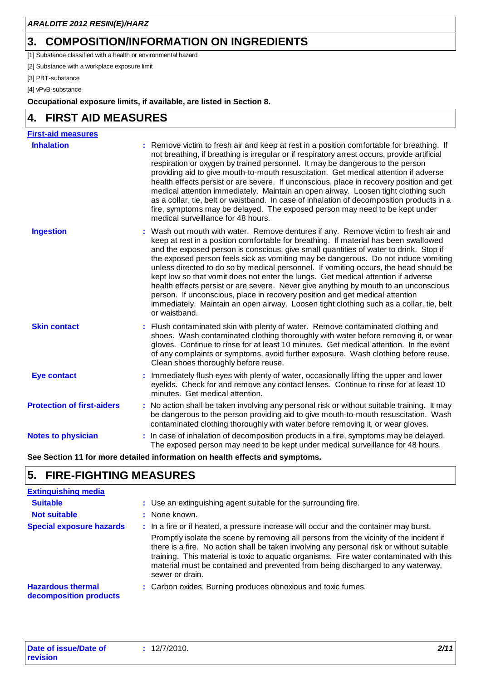# **3. COMPOSITION/INFORMATION ON INGREDIENTS**

[1] Substance classified with a health or environmental hazard

[2] Substance with a workplace exposure limit

[3] PBT-substance

[4] vPvB-substance

**Occupational exposure limits, if available, are listed in Section 8.**

#### **4. FIRST AID MEASURES**

| <b>First-aid measures</b>         |                                                                                                                                                                                                                                                                                                                                                                                                                                                                                                                                                                                                                                                                                                                                                                                                                              |
|-----------------------------------|------------------------------------------------------------------------------------------------------------------------------------------------------------------------------------------------------------------------------------------------------------------------------------------------------------------------------------------------------------------------------------------------------------------------------------------------------------------------------------------------------------------------------------------------------------------------------------------------------------------------------------------------------------------------------------------------------------------------------------------------------------------------------------------------------------------------------|
| <b>Inhalation</b>                 | : Remove victim to fresh air and keep at rest in a position comfortable for breathing. If<br>not breathing, if breathing is irregular or if respiratory arrest occurs, provide artificial<br>respiration or oxygen by trained personnel. It may be dangerous to the person<br>providing aid to give mouth-to-mouth resuscitation. Get medical attention if adverse<br>health effects persist or are severe. If unconscious, place in recovery position and get<br>medical attention immediately. Maintain an open airway. Loosen tight clothing such<br>as a collar, tie, belt or waistband. In case of inhalation of decomposition products in a<br>fire, symptoms may be delayed. The exposed person may need to be kept under<br>medical surveillance for 48 hours.                                                       |
| <b>Ingestion</b>                  | : Wash out mouth with water. Remove dentures if any. Remove victim to fresh air and<br>keep at rest in a position comfortable for breathing. If material has been swallowed<br>and the exposed person is conscious, give small quantities of water to drink. Stop if<br>the exposed person feels sick as vomiting may be dangerous. Do not induce vomiting<br>unless directed to do so by medical personnel. If vomiting occurs, the head should be<br>kept low so that vomit does not enter the lungs. Get medical attention if adverse<br>health effects persist or are severe. Never give anything by mouth to an unconscious<br>person. If unconscious, place in recovery position and get medical attention<br>immediately. Maintain an open airway. Loosen tight clothing such as a collar, tie, belt<br>or waistband. |
| <b>Skin contact</b>               | : Flush contaminated skin with plenty of water. Remove contaminated clothing and<br>shoes. Wash contaminated clothing thoroughly with water before removing it, or wear<br>gloves. Continue to rinse for at least 10 minutes. Get medical attention. In the event<br>of any complaints or symptoms, avoid further exposure. Wash clothing before reuse.<br>Clean shoes thoroughly before reuse.                                                                                                                                                                                                                                                                                                                                                                                                                              |
| <b>Eye contact</b>                | Immediately flush eyes with plenty of water, occasionally lifting the upper and lower<br>eyelids. Check for and remove any contact lenses. Continue to rinse for at least 10<br>minutes. Get medical attention.                                                                                                                                                                                                                                                                                                                                                                                                                                                                                                                                                                                                              |
| <b>Protection of first-aiders</b> | : No action shall be taken involving any personal risk or without suitable training. It may<br>be dangerous to the person providing aid to give mouth-to-mouth resuscitation. Wash<br>contaminated clothing thoroughly with water before removing it, or wear gloves.                                                                                                                                                                                                                                                                                                                                                                                                                                                                                                                                                        |
| <b>Notes to physician</b>         | : In case of inhalation of decomposition products in a fire, symptoms may be delayed.<br>The exposed person may need to be kept under medical surveillance for 48 hours.                                                                                                                                                                                                                                                                                                                                                                                                                                                                                                                                                                                                                                                     |

**See Section 11 for more detailed information on health effects and symptoms.**

# **5. FIRE-FIGHTING MEASURES**

| <b>Extinguishing media</b>                         |                                                                                                                                                                                                                                                                                                                                                                                                                                                                                 |
|----------------------------------------------------|---------------------------------------------------------------------------------------------------------------------------------------------------------------------------------------------------------------------------------------------------------------------------------------------------------------------------------------------------------------------------------------------------------------------------------------------------------------------------------|
| <b>Suitable</b>                                    | : Use an extinguishing agent suitable for the surrounding fire.                                                                                                                                                                                                                                                                                                                                                                                                                 |
| <b>Not suitable</b>                                | : None known.                                                                                                                                                                                                                                                                                                                                                                                                                                                                   |
| <b>Special exposure hazards</b>                    | : In a fire or if heated, a pressure increase will occur and the container may burst.<br>Promptly isolate the scene by removing all persons from the vicinity of the incident if<br>there is a fire. No action shall be taken involving any personal risk or without suitable<br>training. This material is toxic to aquatic organisms. Fire water contaminated with this<br>material must be contained and prevented from being discharged to any waterway,<br>sewer or drain. |
| <b>Hazardous thermal</b><br>decomposition products | : Carbon oxides, Burning produces obnoxious and toxic fumes.                                                                                                                                                                                                                                                                                                                                                                                                                    |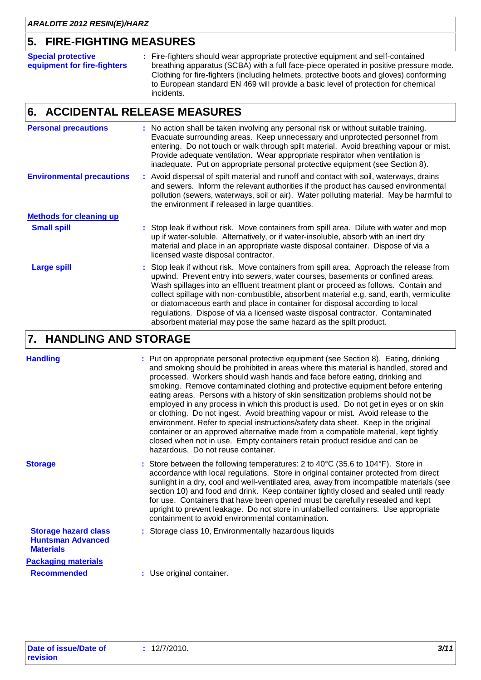# **5. FIRE-FIGHTING MEASURES**

| TINE TIOHTING MEADONES                                                                                                                                                                                                                                                                                                                                                                                                            |                                                                                                                                                                                                                                                                                                                                                                                                                                                                                                                                                                                                 |  |  |  |  |
|-----------------------------------------------------------------------------------------------------------------------------------------------------------------------------------------------------------------------------------------------------------------------------------------------------------------------------------------------------------------------------------------------------------------------------------|-------------------------------------------------------------------------------------------------------------------------------------------------------------------------------------------------------------------------------------------------------------------------------------------------------------------------------------------------------------------------------------------------------------------------------------------------------------------------------------------------------------------------------------------------------------------------------------------------|--|--|--|--|
| <b>Special protective</b><br>: Fire-fighters should wear appropriate protective equipment and self-contained<br>equipment for fire-fighters<br>breathing apparatus (SCBA) with a full face-piece operated in positive pressure mode.<br>Clothing for fire-fighters (including helmets, protective boots and gloves) conforming<br>to European standard EN 469 will provide a basic level of protection for chemical<br>incidents. |                                                                                                                                                                                                                                                                                                                                                                                                                                                                                                                                                                                                 |  |  |  |  |
| 6.                                                                                                                                                                                                                                                                                                                                                                                                                                | <b>ACCIDENTAL RELEASE MEASURES</b>                                                                                                                                                                                                                                                                                                                                                                                                                                                                                                                                                              |  |  |  |  |
| <b>Personal precautions</b>                                                                                                                                                                                                                                                                                                                                                                                                       | : No action shall be taken involving any personal risk or without suitable training.<br>Evacuate surrounding areas. Keep unnecessary and unprotected personnel from<br>entering. Do not touch or walk through spilt material. Avoid breathing vapour or mist.<br>Provide adequate ventilation. Wear appropriate respirator when ventilation is<br>inadequate. Put on appropriate personal protective equipment (see Section 8).                                                                                                                                                                 |  |  |  |  |
| <b>Environmental precautions</b>                                                                                                                                                                                                                                                                                                                                                                                                  | : Avoid dispersal of spilt material and runoff and contact with soil, waterways, drains<br>and sewers. Inform the relevant authorities if the product has caused environmental<br>pollution (sewers, waterways, soil or air). Water polluting material. May be harmful to<br>the environment if released in large quantities.                                                                                                                                                                                                                                                                   |  |  |  |  |
| <b>Methods for cleaning up</b>                                                                                                                                                                                                                                                                                                                                                                                                    |                                                                                                                                                                                                                                                                                                                                                                                                                                                                                                                                                                                                 |  |  |  |  |
| <b>Small spill</b>                                                                                                                                                                                                                                                                                                                                                                                                                | : Stop leak if without risk. Move containers from spill area. Dilute with water and mop<br>up if water-soluble. Alternatively, or if water-insoluble, absorb with an inert dry<br>material and place in an appropriate waste disposal container. Dispose of via a<br>licensed waste disposal contractor.                                                                                                                                                                                                                                                                                        |  |  |  |  |
| <b>Large spill</b>                                                                                                                                                                                                                                                                                                                                                                                                                | Stop leak if without risk. Move containers from spill area. Approach the release from<br>upwind. Prevent entry into sewers, water courses, basements or confined areas.<br>Wash spillages into an effluent treatment plant or proceed as follows. Contain and<br>collect spillage with non-combustible, absorbent material e.g. sand, earth, vermiculite<br>or diatomaceous earth and place in container for disposal according to local<br>regulations. Dispose of via a licensed waste disposal contractor. Contaminated<br>absorbent material may pose the same hazard as the spilt product. |  |  |  |  |

# **HANDLING AND STORAGE 7.**

| <b>Handling</b>                                                             | : Put on appropriate personal protective equipment (see Section 8). Eating, drinking<br>and smoking should be prohibited in areas where this material is handled, stored and<br>processed. Workers should wash hands and face before eating, drinking and<br>smoking. Remove contaminated clothing and protective equipment before entering<br>eating areas. Persons with a history of skin sensitization problems should not be<br>employed in any process in which this product is used. Do not get in eyes or on skin<br>or clothing. Do not ingest. Avoid breathing vapour or mist. Avoid release to the<br>environment. Refer to special instructions/safety data sheet. Keep in the original<br>container or an approved alternative made from a compatible material, kept tightly<br>closed when not in use. Empty containers retain product residue and can be<br>hazardous. Do not reuse container. |
|-----------------------------------------------------------------------------|--------------------------------------------------------------------------------------------------------------------------------------------------------------------------------------------------------------------------------------------------------------------------------------------------------------------------------------------------------------------------------------------------------------------------------------------------------------------------------------------------------------------------------------------------------------------------------------------------------------------------------------------------------------------------------------------------------------------------------------------------------------------------------------------------------------------------------------------------------------------------------------------------------------|
| <b>Storage</b>                                                              | : Store between the following temperatures: 2 to $40^{\circ}$ C (35.6 to 104 $^{\circ}$ F). Store in<br>accordance with local regulations. Store in original container protected from direct<br>sunlight in a dry, cool and well-ventilated area, away from incompatible materials (see<br>section 10) and food and drink. Keep container tightly closed and sealed until ready<br>for use. Containers that have been opened must be carefully resealed and kept<br>upright to prevent leakage. Do not store in unlabelled containers. Use appropriate<br>containment to avoid environmental contamination.                                                                                                                                                                                                                                                                                                  |
| <b>Storage hazard class</b><br><b>Huntsman Advanced</b><br><b>Materials</b> | : Storage class 10, Environmentally hazardous liquids                                                                                                                                                                                                                                                                                                                                                                                                                                                                                                                                                                                                                                                                                                                                                                                                                                                        |
| <b>Packaging materials</b>                                                  |                                                                                                                                                                                                                                                                                                                                                                                                                                                                                                                                                                                                                                                                                                                                                                                                                                                                                                              |
| <b>Recommended</b>                                                          | : Use original container.                                                                                                                                                                                                                                                                                                                                                                                                                                                                                                                                                                                                                                                                                                                                                                                                                                                                                    |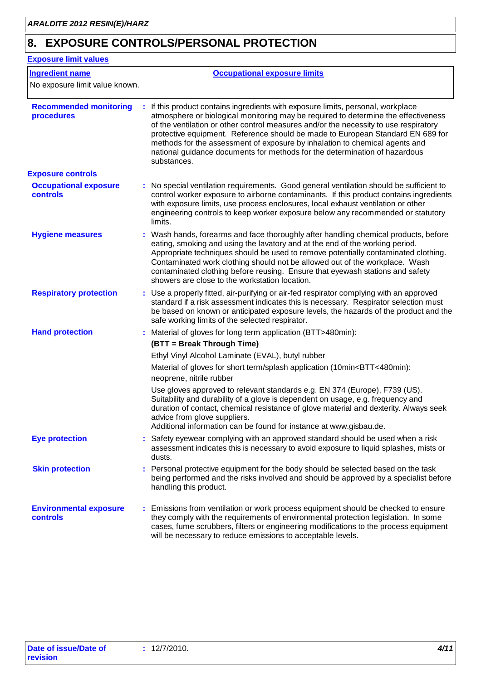# **8. EXPOSURE CONTROLS/PERSONAL PROTECTION**

| <b>Exposure limit values</b>                    |                                                                                                                                                                                                                                                                                                                                                                                                                                                                                                                            |
|-------------------------------------------------|----------------------------------------------------------------------------------------------------------------------------------------------------------------------------------------------------------------------------------------------------------------------------------------------------------------------------------------------------------------------------------------------------------------------------------------------------------------------------------------------------------------------------|
| <b>Ingredient name</b>                          | <b>Occupational exposure limits</b>                                                                                                                                                                                                                                                                                                                                                                                                                                                                                        |
| No exposure limit value known.                  |                                                                                                                                                                                                                                                                                                                                                                                                                                                                                                                            |
| <b>Recommended monitoring</b><br>procedures     | If this product contains ingredients with exposure limits, personal, workplace<br>atmosphere or biological monitoring may be required to determine the effectiveness<br>of the ventilation or other control measures and/or the necessity to use respiratory<br>protective equipment. Reference should be made to European Standard EN 689 for<br>methods for the assessment of exposure by inhalation to chemical agents and<br>national guidance documents for methods for the determination of hazardous<br>substances. |
| <b>Exposure controls</b>                        |                                                                                                                                                                                                                                                                                                                                                                                                                                                                                                                            |
| <b>Occupational exposure</b><br><b>controls</b> | No special ventilation requirements. Good general ventilation should be sufficient to<br>control worker exposure to airborne contaminants. If this product contains ingredients<br>with exposure limits, use process enclosures, local exhaust ventilation or other<br>engineering controls to keep worker exposure below any recommended or statutory<br>limits.                                                                                                                                                          |
| <b>Hygiene measures</b>                         | Wash hands, forearms and face thoroughly after handling chemical products, before<br>eating, smoking and using the lavatory and at the end of the working period.<br>Appropriate techniques should be used to remove potentially contaminated clothing.<br>Contaminated work clothing should not be allowed out of the workplace. Wash<br>contaminated clothing before reusing. Ensure that eyewash stations and safety<br>showers are close to the workstation location.                                                  |
| <b>Respiratory protection</b>                   | : Use a properly fitted, air-purifying or air-fed respirator complying with an approved<br>standard if a risk assessment indicates this is necessary. Respirator selection must<br>be based on known or anticipated exposure levels, the hazards of the product and the<br>safe working limits of the selected respirator.                                                                                                                                                                                                 |
| <b>Hand protection</b>                          | : Material of gloves for long term application (BTT>480min):                                                                                                                                                                                                                                                                                                                                                                                                                                                               |
|                                                 | (BTT = Break Through Time)                                                                                                                                                                                                                                                                                                                                                                                                                                                                                                 |
|                                                 | Ethyl Vinyl Alcohol Laminate (EVAL), butyl rubber                                                                                                                                                                                                                                                                                                                                                                                                                                                                          |
|                                                 | Material of gloves for short term/splash application (10min <btt<480min):< td=""></btt<480min):<>                                                                                                                                                                                                                                                                                                                                                                                                                          |
|                                                 | neoprene, nitrile rubber                                                                                                                                                                                                                                                                                                                                                                                                                                                                                                   |
|                                                 | Use gloves approved to relevant standards e.g. EN 374 (Europe), F739 (US).<br>Suitability and durability of a glove is dependent on usage, e.g. frequency and<br>duration of contact, chemical resistance of glove material and dexterity. Always seek<br>advice from glove suppliers.<br>Additional information can be found for instance at www.gisbau.de.                                                                                                                                                               |
| <b>Eye protection</b>                           | Safety eyewear complying with an approved standard should be used when a risk<br>assessment indicates this is necessary to avoid exposure to liquid splashes, mists or<br>dusts.                                                                                                                                                                                                                                                                                                                                           |
| <b>Skin protection</b>                          | : Personal protective equipment for the body should be selected based on the task<br>being performed and the risks involved and should be approved by a specialist before<br>handling this product.                                                                                                                                                                                                                                                                                                                        |
| <b>Environmental exposure</b><br>controls       | Emissions from ventilation or work process equipment should be checked to ensure<br>they comply with the requirements of environmental protection legislation. In some<br>cases, fume scrubbers, filters or engineering modifications to the process equipment<br>will be necessary to reduce emissions to acceptable levels.                                                                                                                                                                                              |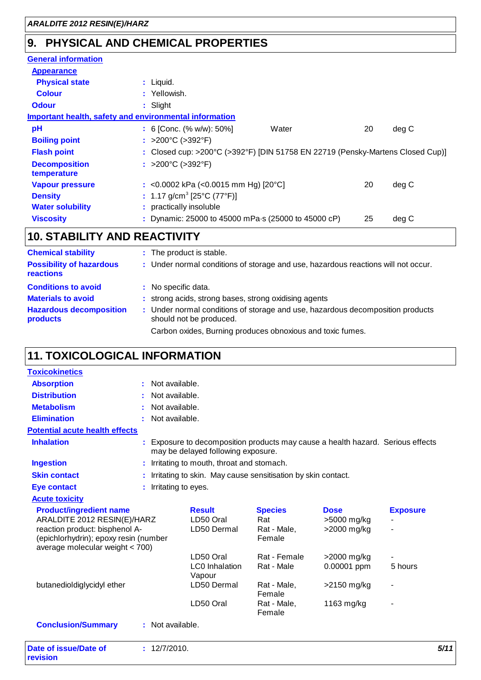# **PHYSICAL AND CHEMICAL PROPERTIES 9.**

| <b>General information</b>          |                                                                                |    |       |  |  |  |  |
|-------------------------------------|--------------------------------------------------------------------------------|----|-------|--|--|--|--|
| <b>Appearance</b>                   |                                                                                |    |       |  |  |  |  |
| <b>Physical state</b>               | $:$ Liquid.                                                                    |    |       |  |  |  |  |
| <b>Colour</b>                       | : Yellowish.                                                                   |    |       |  |  |  |  |
| <b>Odour</b>                        | $:$ Slight                                                                     |    |       |  |  |  |  |
|                                     | Important health, safety and environmental information                         |    |       |  |  |  |  |
| pH                                  | Water<br>: 6 [Conc. $% w/w$ ]: 50%]                                            | 20 | deg C |  |  |  |  |
| <b>Boiling point</b>                | : >200°C (>392°F)                                                              |    |       |  |  |  |  |
| <b>Flash point</b>                  | : Closed cup: >200°C (>392°F) [DIN 51758 EN 22719 (Pensky-Martens Closed Cup)] |    |       |  |  |  |  |
| <b>Decomposition</b><br>temperature | : >200°C (>392°F)                                                              |    |       |  |  |  |  |
| <b>Vapour pressure</b>              | : <0.0002 kPa (<0.0015 mm Hg) [20°C]                                           | 20 | deg C |  |  |  |  |
| <b>Density</b>                      | : 1.17 g/cm <sup>3</sup> [25°C (77°F)]                                         |    |       |  |  |  |  |
| <b>Water solubility</b>             | : practically insoluble                                                        |    |       |  |  |  |  |
| <b>Viscosity</b>                    | : Dynamic: 25000 to 45000 mPa.s (25000 to 45000 cP)                            | 25 | deg C |  |  |  |  |

# **10. STABILITY AND REACTIVITY**

| <b>Chemical stability</b>                           | : The product is stable.                                                                                  |
|-----------------------------------------------------|-----------------------------------------------------------------------------------------------------------|
| <b>Possibility of hazardous</b><br><b>reactions</b> | : Under normal conditions of storage and use, hazardous reactions will not occur.                         |
| <b>Conditions to avoid</b>                          | : No specific data.                                                                                       |
| <b>Materials to avoid</b>                           | : strong acids, strong bases, strong oxidising agents                                                     |
| <b>Hazardous decomposition</b><br>products          | : Under normal conditions of storage and use, hazardous decomposition products<br>should not be produced. |
|                                                     | Carbon oxides, Burning produces obnoxious and toxic fumes.                                                |

# **11. TOXICOLOGICAL INFORMATION**

| <b>Toxicokinetics</b>                                                                                                                                                       |                     |                                                      |                                                              |                                                                                 |                 |  |  |  |
|-----------------------------------------------------------------------------------------------------------------------------------------------------------------------------|---------------------|------------------------------------------------------|--------------------------------------------------------------|---------------------------------------------------------------------------------|-----------------|--|--|--|
| <b>Absorption</b>                                                                                                                                                           |                     | : Not available.                                     |                                                              |                                                                                 |                 |  |  |  |
| <b>Distribution</b>                                                                                                                                                         |                     | Not available.                                       |                                                              |                                                                                 |                 |  |  |  |
| <b>Metabolism</b>                                                                                                                                                           |                     | Not available.                                       |                                                              |                                                                                 |                 |  |  |  |
| <b>Elimination</b>                                                                                                                                                          |                     | Not available.                                       |                                                              |                                                                                 |                 |  |  |  |
| <b>Potential acute health effects</b>                                                                                                                                       |                     |                                                      |                                                              |                                                                                 |                 |  |  |  |
| <b>Inhalation</b>                                                                                                                                                           |                     | may be delayed following exposure.                   |                                                              | : Exposure to decomposition products may cause a health hazard. Serious effects |                 |  |  |  |
| <b>Ingestion</b>                                                                                                                                                            |                     | : Irritating to mouth, throat and stomach.           |                                                              |                                                                                 |                 |  |  |  |
| <b>Skin contact</b>                                                                                                                                                         |                     |                                                      | Irritating to skin. May cause sensitisation by skin contact. |                                                                                 |                 |  |  |  |
| <b>Eye contact</b>                                                                                                                                                          | Irritating to eyes. |                                                      |                                                              |                                                                                 |                 |  |  |  |
| <b>Acute toxicity</b>                                                                                                                                                       |                     |                                                      |                                                              |                                                                                 |                 |  |  |  |
| <b>Product/ingredient name</b><br>ARALDITE 2012 RESIN(E)/HARZ<br>reaction product: bisphenol A-<br>(epichlorhydrin); epoxy resin (number<br>average molecular weight < 700) |                     | <b>Result</b><br>LD50 Oral<br>LD50 Dermal            | <b>Species</b><br>Rat<br>Rat - Male.<br>Female               | <b>Dose</b><br>>5000 mg/kg<br>>2000 mg/kg                                       | <b>Exposure</b> |  |  |  |
| butanedioldiglycidyl ether                                                                                                                                                  |                     | LD50 Oral<br>LC0 Inhalation<br>Vapour<br>LD50 Dermal | Rat - Female<br>Rat - Male<br>Rat - Male.<br>Female          | >2000 mg/kg<br>0.00001 ppm<br>>2150 mg/kg                                       | 5 hours         |  |  |  |
|                                                                                                                                                                             |                     | LD50 Oral                                            | Rat - Male,<br>Female                                        | 1163 mg/kg                                                                      |                 |  |  |  |
| <b>Conclusion/Summary</b>                                                                                                                                                   | : Not available.    |                                                      |                                                              |                                                                                 |                 |  |  |  |
| Date of iccup/Date of                                                                                                                                                       | $+ 12/7/2010$       |                                                      |                                                              |                                                                                 |                 |  |  |  |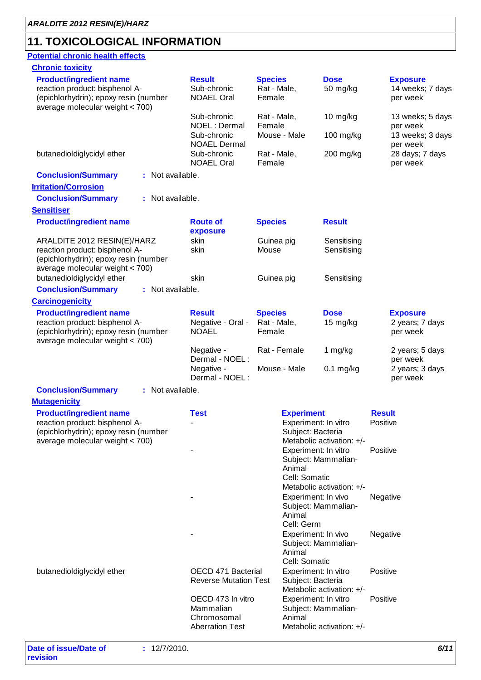# **11. TOXICOLOGICAL INFORMATION**

# **Potential chronic health effects**

| <b>Chronic toxicity</b>                                                                                                                      |                                                                         |                                         |                                                                                                                                                                           |                                                  |                           |                                                              |
|----------------------------------------------------------------------------------------------------------------------------------------------|-------------------------------------------------------------------------|-----------------------------------------|---------------------------------------------------------------------------------------------------------------------------------------------------------------------------|--------------------------------------------------|---------------------------|--------------------------------------------------------------|
| <b>Product/ingredient name</b><br>reaction product: bisphenol A-<br>(epichlorhydrin); epoxy resin (number<br>average molecular weight < 700) | <b>Result</b><br>Sub-chronic<br><b>NOAEL Oral</b>                       | <b>Species</b><br>Rat - Male,<br>Female |                                                                                                                                                                           | <b>Dose</b><br>50 mg/kg                          |                           | <b>Exposure</b><br>14 weeks; 7 days<br>per week              |
|                                                                                                                                              | Sub-chronic<br>NOEL: Dermal<br>Sub-chronic<br><b>NOAEL Dermal</b>       | Rat - Male,<br>Female                   | Mouse - Male                                                                                                                                                              | 10 mg/kg<br>100 mg/kg                            |                           | 13 weeks; 5 days<br>per week<br>13 weeks; 3 days<br>per week |
| butanedioldiglycidyl ether                                                                                                                   | Sub-chronic<br><b>NOAEL Oral</b>                                        | Rat - Male,<br>Female                   |                                                                                                                                                                           | 200 mg/kg                                        |                           | 28 days; 7 days<br>per week                                  |
| : Not available.<br><b>Conclusion/Summary</b>                                                                                                |                                                                         |                                         |                                                                                                                                                                           |                                                  |                           |                                                              |
| <b>Irritation/Corrosion</b>                                                                                                                  |                                                                         |                                         |                                                                                                                                                                           |                                                  |                           |                                                              |
| <b>Conclusion/Summary</b><br>: Not available.                                                                                                |                                                                         |                                         |                                                                                                                                                                           |                                                  |                           |                                                              |
| <b>Sensitiser</b>                                                                                                                            |                                                                         |                                         |                                                                                                                                                                           |                                                  |                           |                                                              |
| <b>Product/ingredient name</b>                                                                                                               | <b>Route of</b><br>exposure                                             | <b>Species</b>                          |                                                                                                                                                                           | <b>Result</b>                                    |                           |                                                              |
| ARALDITE 2012 RESIN(E)/HARZ<br>reaction product: bisphenol A-<br>(epichlorhydrin); epoxy resin (number<br>average molecular weight < 700)    | skin<br>skin                                                            | Guinea pig<br>Mouse                     |                                                                                                                                                                           | Sensitising<br>Sensitising                       |                           |                                                              |
| butanedioldiglycidyl ether<br><b>Conclusion/Summary</b><br>: Not available.                                                                  | skin                                                                    | Guinea pig                              |                                                                                                                                                                           | Sensitising                                      |                           |                                                              |
|                                                                                                                                              |                                                                         |                                         |                                                                                                                                                                           |                                                  |                           |                                                              |
| <b>Carcinogenicity</b>                                                                                                                       | <b>Result</b>                                                           |                                         |                                                                                                                                                                           | <b>Dose</b>                                      |                           |                                                              |
| <b>Product/ingredient name</b><br>reaction product: bisphenol A-<br>(epichlorhydrin); epoxy resin (number<br>average molecular weight < 700) | Negative - Oral -<br><b>NOAEL</b>                                       | <b>Species</b><br>Rat - Male,<br>Female |                                                                                                                                                                           | 15 mg/kg                                         |                           | <b>Exposure</b><br>2 years; 7 days<br>per week               |
|                                                                                                                                              | Negative -<br>Dermal - NOEL :<br>Negative -<br>Dermal - NOEL:           |                                         | Rat - Female<br>Mouse - Male                                                                                                                                              | 1 mg/kg<br>$0.1$ mg/kg                           |                           | 2 years; 5 days<br>per week<br>2 years; 3 days               |
|                                                                                                                                              |                                                                         |                                         |                                                                                                                                                                           |                                                  |                           | per week                                                     |
| <b>Conclusion/Summary</b><br>: Not available.                                                                                                |                                                                         |                                         |                                                                                                                                                                           |                                                  |                           |                                                              |
| <b>Mutagenicity</b>                                                                                                                          | <b>Test</b>                                                             |                                         |                                                                                                                                                                           |                                                  |                           |                                                              |
| <b>Product/ingredient name</b><br>reaction product: bisphenol A-<br>(epichlorhydrin); epoxy resin (number<br>average molecular weight < 700) |                                                                         |                                         | <b>Experiment</b><br>Experiment: In vitro<br>Subject: Bacteria                                                                                                            | Metabolic activation: +/-                        | <b>Result</b><br>Positive |                                                              |
|                                                                                                                                              |                                                                         |                                         | Experiment: In vitro<br>Subject: Mammalian-<br>Animal<br>Cell: Somatic<br>Metabolic activation: +/-<br>Experiment: In vivo<br>Subject: Mammalian-<br>Animal<br>Cell: Germ |                                                  | Positive                  |                                                              |
|                                                                                                                                              |                                                                         |                                         |                                                                                                                                                                           |                                                  | Negative                  |                                                              |
|                                                                                                                                              |                                                                         |                                         | Experiment: In vivo<br>Animal<br>Cell: Somatic                                                                                                                            | Subject: Mammalian-                              | Negative                  |                                                              |
| butanedioldiglycidyl ether                                                                                                                   | OECD 471 Bacterial<br><b>Reverse Mutation Test</b>                      |                                         | Experiment: In vitro<br>Subject: Bacteria<br>Metabolic activation: +/-                                                                                                    |                                                  | Positive                  |                                                              |
|                                                                                                                                              | OECD 473 In vitro<br>Mammalian<br>Chromosomal<br><b>Aberration Test</b> |                                         | Experiment: In vitro<br>Animal                                                                                                                                            | Subject: Mammalian-<br>Metabolic activation: +/- | Positive                  |                                                              |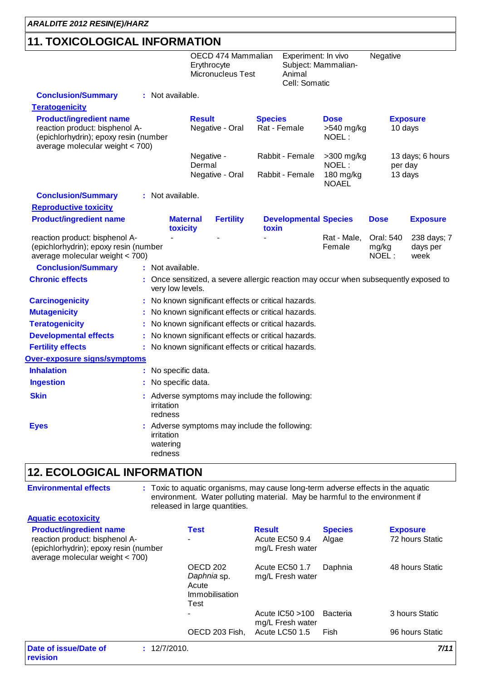# **11. TOXICOLOGICAL INFORMATION**

|                                                                                                                                              |                                   | OECD 474 Mammalian<br>Erythrocyte<br><b>Micronucleus Test</b> |                                                     | Animal         | Experiment: In vivo<br>Subject: Mammalian-<br>Cell: Somatic |                                                                                                                                                                 | Negative                    |                                                                                    |
|----------------------------------------------------------------------------------------------------------------------------------------------|-----------------------------------|---------------------------------------------------------------|-----------------------------------------------------|----------------|-------------------------------------------------------------|-----------------------------------------------------------------------------------------------------------------------------------------------------------------|-----------------------------|------------------------------------------------------------------------------------|
| <b>Conclusion/Summary</b>                                                                                                                    | : Not available.                  |                                                               |                                                     |                |                                                             |                                                                                                                                                                 |                             |                                                                                    |
| <b>Teratogenicity</b>                                                                                                                        |                                   |                                                               |                                                     |                |                                                             |                                                                                                                                                                 |                             |                                                                                    |
| <b>Product/ingredient name</b><br>reaction product: bisphenol A-<br>(epichlorhydrin); epoxy resin (number<br>average molecular weight < 700) |                                   | <b>Result</b>                                                 | Negative - Oral                                     | <b>Species</b> | Rat - Female                                                | <b>Dose</b><br>>540 mg/kg<br>NOEL:                                                                                                                              |                             | <b>Exposure</b><br>10 days                                                         |
|                                                                                                                                              |                                   | Negative -<br>Dermal                                          | Negative - Oral                                     |                | Rabbit - Female<br>Rabbit - Female                          | >300 mg/kg<br>NOEL:<br>180 mg/kg<br><b>NOAEL</b>                                                                                                                |                             | 13 days; 6 hours<br>per day<br>13 days                                             |
| <b>Conclusion/Summary</b><br><b>Reproductive toxicity</b>                                                                                    | : Not available.                  |                                                               |                                                     |                |                                                             |                                                                                                                                                                 |                             |                                                                                    |
| <b>Product/ingredient name</b>                                                                                                               | <b>Maternal</b><br>toxicity       |                                                               | <b>Fertility</b>                                    | toxin          | <b>Developmental Species</b>                                |                                                                                                                                                                 | <b>Dose</b>                 | <b>Exposure</b>                                                                    |
| reaction product: bisphenol A-<br>(epichlorhydrin); epoxy resin (number<br>average molecular weight < 700)                                   |                                   |                                                               |                                                     |                |                                                             | Rat - Male,<br>Female                                                                                                                                           | Oral: 540<br>mg/kg<br>NOEL: | 238 days; 7<br>days per<br>week                                                    |
| <b>Conclusion/Summary</b>                                                                                                                    | : Not available.                  |                                                               |                                                     |                |                                                             |                                                                                                                                                                 |                             |                                                                                    |
| <b>Chronic effects</b>                                                                                                                       | very low levels.                  |                                                               |                                                     |                |                                                             |                                                                                                                                                                 |                             | Once sensitized, a severe allergic reaction may occur when subsequently exposed to |
| <b>Carcinogenicity</b>                                                                                                                       |                                   |                                                               | : No known significant effects or critical hazards. |                |                                                             |                                                                                                                                                                 |                             |                                                                                    |
| <b>Mutagenicity</b>                                                                                                                          |                                   |                                                               | : No known significant effects or critical hazards. |                |                                                             |                                                                                                                                                                 |                             |                                                                                    |
| <b>Teratogenicity</b>                                                                                                                        |                                   |                                                               | No known significant effects or critical hazards.   |                |                                                             |                                                                                                                                                                 |                             |                                                                                    |
| <b>Developmental effects</b>                                                                                                                 |                                   |                                                               | No known significant effects or critical hazards.   |                |                                                             |                                                                                                                                                                 |                             |                                                                                    |
| <b>Fertility effects</b>                                                                                                                     |                                   |                                                               | No known significant effects or critical hazards.   |                |                                                             |                                                                                                                                                                 |                             |                                                                                    |
| Over-exposure signs/symptoms                                                                                                                 |                                   |                                                               |                                                     |                |                                                             |                                                                                                                                                                 |                             |                                                                                    |
| <b>Inhalation</b>                                                                                                                            | : No specific data.               |                                                               |                                                     |                |                                                             |                                                                                                                                                                 |                             |                                                                                    |
| <b>Ingestion</b>                                                                                                                             | No specific data.                 |                                                               |                                                     |                |                                                             |                                                                                                                                                                 |                             |                                                                                    |
| <b>Skin</b>                                                                                                                                  | irritation<br>redness             |                                                               | : Adverse symptoms may include the following:       |                |                                                             |                                                                                                                                                                 |                             |                                                                                    |
| <b>Eyes</b>                                                                                                                                  | irritation<br>watering<br>redness |                                                               | Adverse symptoms may include the following:         |                |                                                             |                                                                                                                                                                 |                             |                                                                                    |
| <b>12. ECOLOGICAL INFORMATION</b>                                                                                                            |                                   |                                                               |                                                     |                |                                                             |                                                                                                                                                                 |                             |                                                                                    |
| <b>Environmental effects</b>                                                                                                                 |                                   |                                                               | released in large quantities.                       |                |                                                             | : Toxic to aquatic organisms, may cause long-term adverse effects in the aquatic<br>environment. Water polluting material. May be harmful to the environment if |                             |                                                                                    |

**Aquatic ecotoxicity**

| <b>Product/ingredient name</b><br>reaction product: bisphenol A-<br>(epichlorhydrin); epoxy resin (number<br>average molecular weight < 700) | Test<br>$\blacksquare$                                     | <b>Result</b><br>Acute EC50 9.4<br>mg/L Fresh water | <b>Species</b><br>Algae | <b>Exposure</b><br>72 hours Static |
|----------------------------------------------------------------------------------------------------------------------------------------------|------------------------------------------------------------|-----------------------------------------------------|-------------------------|------------------------------------|
|                                                                                                                                              | OECD 202<br>Daphnia sp.<br>Acute<br>Immobilisation<br>Test | Acute EC50 1.7<br>mg/L Fresh water                  | Daphnia                 | 48 hours Static                    |
|                                                                                                                                              |                                                            | Acute $IC50 > 100$<br>mg/L Fresh water              | <b>Bacteria</b>         | 3 hours Static                     |
|                                                                                                                                              | OECD 203 Fish,                                             | Acute LC50 1.5                                      | Fish                    | 96 hours Static                    |
| Date of issue/Date of<br>: 12/7/2010.                                                                                                        |                                                            |                                                     |                         | 7/11                               |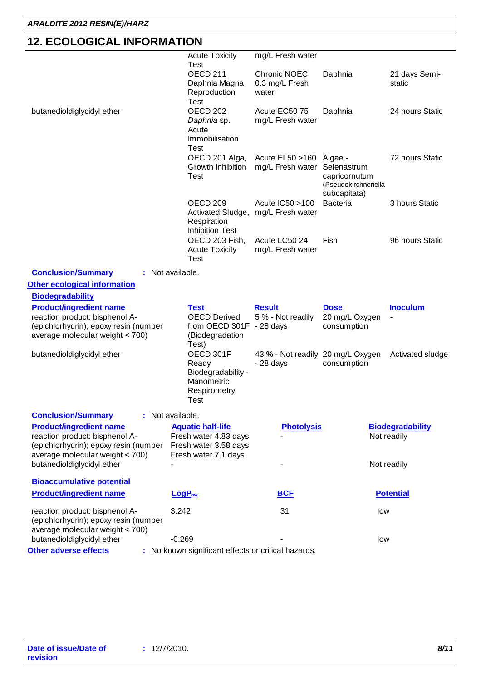# **12. ECOLOGICAL INFORMATION**

|                                                                                                                                              | <b>Acute Toxicity</b><br>Test                                                                      | mg/L Fresh water                                |                                                                                 |                                        |
|----------------------------------------------------------------------------------------------------------------------------------------------|----------------------------------------------------------------------------------------------------|-------------------------------------------------|---------------------------------------------------------------------------------|----------------------------------------|
|                                                                                                                                              | OECD <sub>211</sub><br>Daphnia Magna<br>Reproduction<br>Test                                       | <b>Chronic NOEC</b><br>0.3 mg/L Fresh<br>water  | Daphnia                                                                         | 21 days Semi-<br>static                |
| butanedioldiglycidyl ether                                                                                                                   | OECD <sub>202</sub><br>Daphnia sp.<br>Acute<br>Immobilisation<br>Test                              | Acute EC50 75<br>mg/L Fresh water               | Daphnia                                                                         | 24 hours Static                        |
|                                                                                                                                              | OECD 201 Alga,<br>Growth Inhibition<br>Test                                                        | Acute EL50 >160<br>mg/L Fresh water             | Algae -<br>Selenastrum<br>capricornutum<br>(Pseudokirchneriella<br>subcapitata) | 72 hours Static                        |
|                                                                                                                                              | OECD <sub>209</sub><br>Activated Sludge,<br>Respiration<br><b>Inhibition Test</b>                  | Acute IC50 > 100<br>mg/L Fresh water            | <b>Bacteria</b>                                                                 | 3 hours Static                         |
|                                                                                                                                              | OECD 203 Fish,<br><b>Acute Toxicity</b><br>Test                                                    | Acute LC50 24<br>mg/L Fresh water               | Fish                                                                            | 96 hours Static                        |
| <b>Conclusion/Summary</b>                                                                                                                    | : Not available.                                                                                   |                                                 |                                                                                 |                                        |
| <b>Other ecological information</b>                                                                                                          |                                                                                                    |                                                 |                                                                                 |                                        |
| <b>Biodegradability</b>                                                                                                                      |                                                                                                    |                                                 |                                                                                 |                                        |
| <b>Product/ingredient name</b><br>reaction product: bisphenol A-<br>(epichlorhydrin); epoxy resin (number<br>average molecular weight < 700) | <b>Test</b><br><b>OECD Derived</b><br>from OECD 301F - 28 days<br>(Biodegradation<br>Test)         | <b>Result</b><br>5 % - Not readily              | <b>Dose</b><br>20 mg/L Oxygen<br>consumption                                    | <b>Inoculum</b>                        |
| butanedioldiglycidyl ether                                                                                                                   | OECD 301F<br>Ready<br>Biodegradability -<br>Manometric<br>Respirometry<br><b>Test</b>              | 43 % - Not readily 20 mg/L Oxygen<br>$-28$ days | consumption                                                                     | Activated sludge                       |
| <b>Conclusion/Summary</b>                                                                                                                    | : Not available.                                                                                   |                                                 |                                                                                 |                                        |
| <b>Product/ingredient name</b><br>reaction product: bisphenol A-<br>(epichlorhydrin); epoxy resin (number<br>average molecular weight < 700) | <b>Aquatic half-life</b><br>Fresh water 4.83 days<br>Fresh water 3.58 days<br>Fresh water 7.1 days | <b>Photolysis</b>                               |                                                                                 | <b>Biodegradability</b><br>Not readily |
| butanedioldiglycidyl ether                                                                                                                   |                                                                                                    |                                                 |                                                                                 | Not readily                            |
| <b>Bioaccumulative potential</b>                                                                                                             |                                                                                                    |                                                 |                                                                                 |                                        |
| <b>Product/ingredient name</b>                                                                                                               | LogP <sub>ow</sub>                                                                                 | <b>BCF</b>                                      |                                                                                 | <b>Potential</b>                       |
| reaction product: bisphenol A-<br>(epichlorhydrin); epoxy resin (number<br>average molecular weight < 700)                                   | 3.242                                                                                              | 31                                              | low                                                                             |                                        |
| butanedioldiglycidyl ether                                                                                                                   | $-0.269$                                                                                           |                                                 | low                                                                             |                                        |
| <b>Other adverse effects</b>                                                                                                                 | : No known significant effects or critical hazards.                                                |                                                 |                                                                                 |                                        |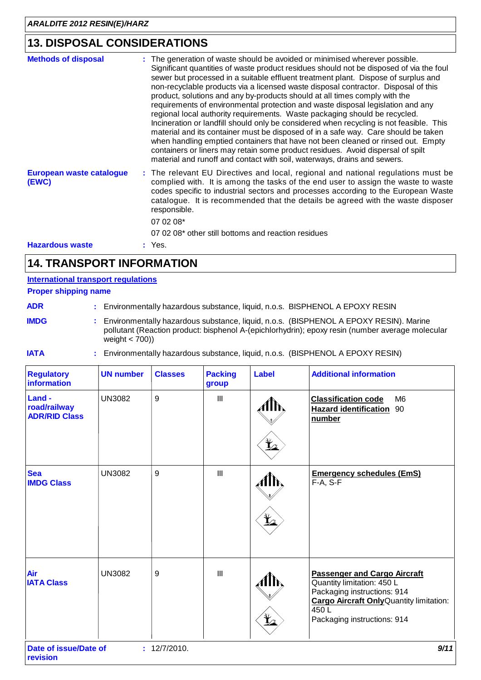# **13. DISPOSAL CONSIDERATIONS**

| <b>Methods of disposal</b>        | : The generation of waste should be avoided or minimised wherever possible.<br>Significant quantities of waste product residues should not be disposed of via the foul<br>sewer but processed in a suitable effluent treatment plant. Dispose of surplus and<br>non-recyclable products via a licensed waste disposal contractor. Disposal of this<br>product, solutions and any by-products should at all times comply with the<br>requirements of environmental protection and waste disposal legislation and any<br>regional local authority requirements. Waste packaging should be recycled.<br>Incineration or landfill should only be considered when recycling is not feasible. This<br>material and its container must be disposed of in a safe way. Care should be taken<br>when handling emptied containers that have not been cleaned or rinsed out. Empty<br>containers or liners may retain some product residues. Avoid dispersal of spilt<br>material and runoff and contact with soil, waterways, drains and sewers. |
|-----------------------------------|---------------------------------------------------------------------------------------------------------------------------------------------------------------------------------------------------------------------------------------------------------------------------------------------------------------------------------------------------------------------------------------------------------------------------------------------------------------------------------------------------------------------------------------------------------------------------------------------------------------------------------------------------------------------------------------------------------------------------------------------------------------------------------------------------------------------------------------------------------------------------------------------------------------------------------------------------------------------------------------------------------------------------------------|
| European waste catalogue<br>(EWC) | : The relevant EU Directives and local, regional and national regulations must be<br>complied with. It is among the tasks of the end user to assign the waste to waste<br>codes specific to industrial sectors and processes according to the European Waste<br>catalogue. It is recommended that the details be agreed with the waste disposer<br>responsible.                                                                                                                                                                                                                                                                                                                                                                                                                                                                                                                                                                                                                                                                       |
|                                   | $070208*$                                                                                                                                                                                                                                                                                                                                                                                                                                                                                                                                                                                                                                                                                                                                                                                                                                                                                                                                                                                                                             |
|                                   | 07 02 08* other still bottoms and reaction residues                                                                                                                                                                                                                                                                                                                                                                                                                                                                                                                                                                                                                                                                                                                                                                                                                                                                                                                                                                                   |
| <b>Hazardous waste</b>            | : Yes.                                                                                                                                                                                                                                                                                                                                                                                                                                                                                                                                                                                                                                                                                                                                                                                                                                                                                                                                                                                                                                |

# **14. TRANSPORT INFORMATION**

# **International transport regulations**

### **Proper shipping name**

| <b>ADR</b>  | Environmentally hazardous substance, liquid, n.o.s. BISPHENOL A EPOXY RESIN                                                                                                                                     |
|-------------|-----------------------------------------------------------------------------------------------------------------------------------------------------------------------------------------------------------------|
| <b>IMDG</b> | : Environmentally hazardous substance, liquid, n.o.s. (BISPHENOL A EPOXY RESIN). Marine<br>pollutant (Reaction product: bisphenol A-(epichlorhydrin); epoxy resin (number average molecular<br>weight $<$ 700)) |

**IATA :** Environmentally hazardous substance, liquid, n.o.s. (BISPHENOL A EPOXY RESIN)

| <b>Regulatory</b><br>information               | <b>UN number</b> | <b>Classes</b> | <b>Packing</b><br>group | Label | <b>Additional information</b>                                                                                                                                                              |
|------------------------------------------------|------------------|----------------|-------------------------|-------|--------------------------------------------------------------------------------------------------------------------------------------------------------------------------------------------|
| Land -<br>road/railway<br><b>ADR/RID Class</b> | <b>UN3082</b>    | 9              | III                     |       | <b>Classification code</b><br>M6<br><b>Hazard identification</b><br>90<br>number                                                                                                           |
| <b>Sea</b><br><b>IMDG Class</b>                | <b>UN3082</b>    | 9              | $\mathbf{III}$          |       | <b>Emergency schedules (EmS)</b><br>F-A, S-F                                                                                                                                               |
| Air<br><b>IATA Class</b>                       | <b>UN3082</b>    | 9              | $\mathbf{III}$          |       | <b>Passenger and Cargo Aircraft</b><br>Quantity limitation: 450 L<br>Packaging instructions: 914<br><b>Cargo Aircraft Only Quantity limitation:</b><br>450L<br>Packaging instructions: 914 |
| <b>Date of issue/Date of</b>                   |                  | : 12/7/2010.   |                         |       | 9/11                                                                                                                                                                                       |

**revision**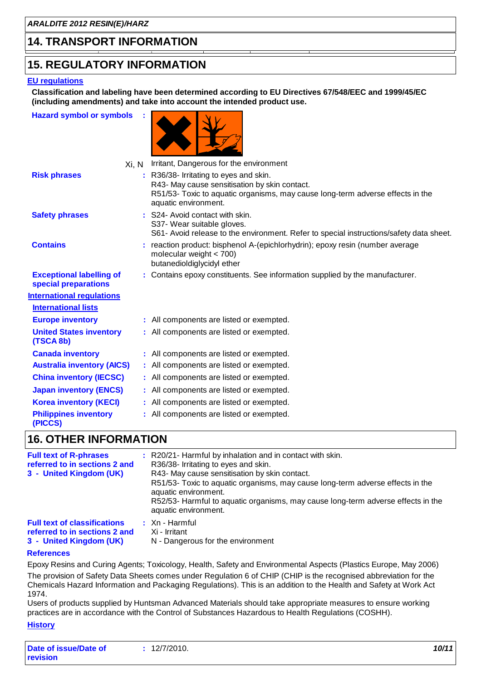**Hazard symbol or symbols**

# **14. TRANSPORT INFORMATION**

# **15. REGULATORY INFORMATION**

**:**

#### **EU regulations**

**Classification and labeling have been determined according to EU Directives 67/548/EEC and 1999/45/EC (including amendments) and take into account the intended product use.**



|                                                         | Xi, N | Irritant, Dangerous for the environment                                                                                                                                                           |
|---------------------------------------------------------|-------|---------------------------------------------------------------------------------------------------------------------------------------------------------------------------------------------------|
| <b>Risk phrases</b>                                     |       | : R36/38- Irritating to eyes and skin.<br>R43- May cause sensitisation by skin contact.<br>R51/53- Toxic to aquatic organisms, may cause long-term adverse effects in the<br>aquatic environment. |
| <b>Safety phrases</b>                                   |       | : S24- Avoid contact with skin.<br>S37- Wear suitable gloves.<br>S61- Avoid release to the environment. Refer to special instructions/safety data sheet.                                          |
| <b>Contains</b>                                         |       | : reaction product: bisphenol A-(epichlorhydrin); epoxy resin (number average<br>molecular weight $<$ 700)<br>butanedioldiglycidyl ether                                                          |
| <b>Exceptional labelling of</b><br>special preparations |       | : Contains epoxy constituents. See information supplied by the manufacturer.                                                                                                                      |
| <b>International regulations</b>                        |       |                                                                                                                                                                                                   |
| <b>International lists</b>                              |       |                                                                                                                                                                                                   |
| <b>Europe inventory</b>                                 |       | : All components are listed or exempted.                                                                                                                                                          |
| <b>United States inventory</b><br>(TSCA 8b)             |       | : All components are listed or exempted.                                                                                                                                                          |
| <b>Canada inventory</b>                                 |       | : All components are listed or exempted.                                                                                                                                                          |
| <b>Australia inventory (AICS)</b>                       |       | : All components are listed or exempted.                                                                                                                                                          |
| <b>China inventory (IECSC)</b>                          |       | : All components are listed or exempted.                                                                                                                                                          |
| <b>Japan inventory (ENCS)</b>                           |       | : All components are listed or exempted.                                                                                                                                                          |
| <b>Korea inventory (KECI)</b>                           |       | : All components are listed or exempted.                                                                                                                                                          |
| <b>Philippines inventory</b><br>(PICCS)                 |       | : All components are listed or exempted.                                                                                                                                                          |

# **16. OTHER INFORMATION**

| <b>Full text of R-phrases</b><br>referred to in sections 2 and<br>3 - United Kingdom (UK)       | : R20/21- Harmful by inhalation and in contact with skin.<br>R36/38- Irritating to eyes and skin.<br>R43- May cause sensitisation by skin contact.<br>R51/53- Toxic to aquatic organisms, may cause long-term adverse effects in the<br>aquatic environment.<br>R52/53- Harmful to aquatic organisms, may cause long-term adverse effects in the<br>aquatic environment. |
|-------------------------------------------------------------------------------------------------|--------------------------------------------------------------------------------------------------------------------------------------------------------------------------------------------------------------------------------------------------------------------------------------------------------------------------------------------------------------------------|
| <b>Full text of classifications</b><br>referred to in sections 2 and<br>3 - United Kingdom (UK) | $\therefore$ Xn - Harmful<br>Xi - Irritant<br>N - Dangerous for the environment                                                                                                                                                                                                                                                                                          |

#### **References**

Epoxy Resins and Curing Agents; Toxicology, Health, Safety and Environmental Aspects (Plastics Europe, May 2006) The provision of Safety Data Sheets comes under Regulation 6 of CHIP (CHIP is the recognised abbreviation for the Chemicals Hazard Information and Packaging Regulations). This is an addition to the Health and Safety at Work Act 1974.

Users of products supplied by Huntsman Advanced Materials should take appropriate measures to ensure working practices are in accordance with the Control of Substances Hazardous to Health Regulations (COSHH).

#### **History**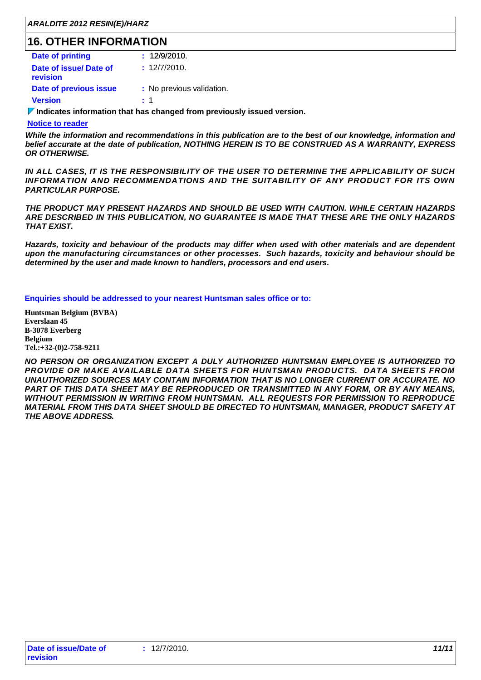# **16. OTHER INFORMATION**

| <b>Date of printing</b>           | : 12/9/2010.              |
|-----------------------------------|---------------------------|
| Date of issue/Date of<br>revision | : 12/7/2010.              |
| Date of previous issue            | : No previous validation. |
| <b>Version</b>                    | $\pm$ 1                   |

**Indicates information that has changed from previously issued version.**

#### **Notice to reader**

*While the information and recommendations in this publication are to the best of our knowledge, information and belief accurate at the date of publication, NOTHING HEREIN IS TO BE CONSTRUED AS A WARRANTY, EXPRESS OR OTHERWISE.*

*IN ALL CASES, IT IS THE RESPONSIBILITY OF THE USER TO DETERMINE THE APPLICABILITY OF SUCH INFORMATION AND RECOMMENDATIONS AND THE SUITABILITY OF ANY PRODUCT FOR ITS OWN PARTICULAR PURPOSE.*

*THE PRODUCT MAY PRESENT HAZARDS AND SHOULD BE USED WITH CAUTION. WHILE CERTAIN HAZARDS ARE DESCRIBED IN THIS PUBLICATION, NO GUARANTEE IS MADE THAT THESE ARE THE ONLY HAZARDS THAT EXIST.*

*Hazards, toxicity and behaviour of the products may differ when used with other materials and are dependent upon the manufacturing circumstances or other processes. Such hazards, toxicity and behaviour should be determined by the user and made known to handlers, processors and end users.*

**Enquiries should be addressed to your nearest Huntsman sales office or to:**

**Huntsman Belgium (BVBA) Everslaan 45 B-3078 Everberg Belgium Tel.:+32-(0)2-758-9211**

*NO PERSON OR ORGANIZATION EXCEPT A DULY AUTHORIZED HUNTSMAN EMPLOYEE IS AUTHORIZED TO PROVIDE OR MAKE AVAILABLE DATA SHEETS FOR HUNTSMAN PRODUCTS. DATA SHEETS FROM UNAUTHORIZED SOURCES MAY CONTAIN INFORMATION THAT IS NO LONGER CURRENT OR ACCURATE. NO PART OF THIS DATA SHEET MAY BE REPRODUCED OR TRANSMITTED IN ANY FORM, OR BY ANY MEANS, WITHOUT PERMISSION IN WRITING FROM HUNTSMAN. ALL REQUESTS FOR PERMISSION TO REPRODUCE MATERIAL FROM THIS DATA SHEET SHOULD BE DIRECTED TO HUNTSMAN, MANAGER, PRODUCT SAFETY AT THE ABOVE ADDRESS.*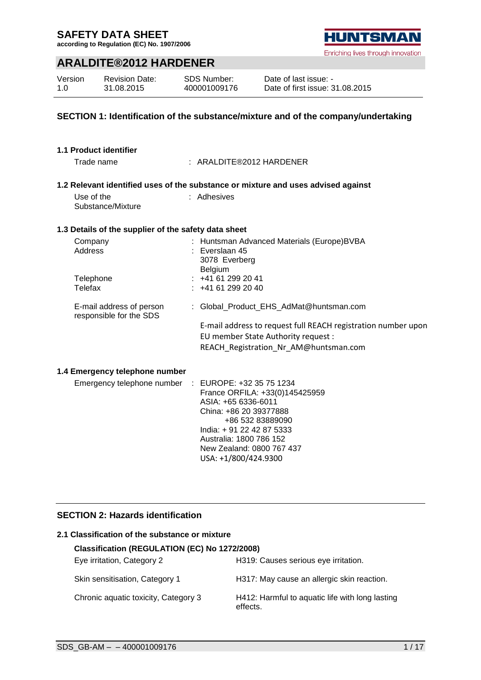**according to Regulation (EC) No. 1907/2006**

# **ARALDITE®2012 HARDENER**

| Version | <b>Revision Date:</b> | <b>SDS Number:</b> |
|---------|-----------------------|--------------------|
| 1.0     | 31.08.2015            | 400001009176       |

#### Date of last issue: - Date of first issue: 31.08.2015

### **SECTION 1: Identification of the substance/mixture and of the company/undertaking**

|                      | <b>1.1 Product identifier</b>                        |   |                                                                                                                                                                                                                                            |
|----------------------|------------------------------------------------------|---|--------------------------------------------------------------------------------------------------------------------------------------------------------------------------------------------------------------------------------------------|
|                      | Trade name                                           |   | $:$ ARALDITE®2012 HARDENER                                                                                                                                                                                                                 |
|                      |                                                      |   | 1.2 Relevant identified uses of the substance or mixture and uses advised against                                                                                                                                                          |
| Use of the           | Substance/Mixture                                    |   | : Adhesives                                                                                                                                                                                                                                |
|                      | 1.3 Details of the supplier of the safety data sheet |   |                                                                                                                                                                                                                                            |
| Company<br>Address   |                                                      |   | : Huntsman Advanced Materials (Europe)BVBA<br>$:$ Everslaan 45<br>3078 Everberg<br>Belgium                                                                                                                                                 |
| Telephone<br>Telefax |                                                      |   | $: +41612992041$<br>$: +41612992040$                                                                                                                                                                                                       |
|                      | E-mail address of person<br>responsible for the SDS  |   | : Global Product EHS AdMat@huntsman.com                                                                                                                                                                                                    |
|                      |                                                      |   | E-mail address to request full REACH registration number upon<br>EU member State Authority request :                                                                                                                                       |
|                      |                                                      |   | REACH Registration Nr AM@huntsman.com                                                                                                                                                                                                      |
|                      | 1.4 Emergency telephone number                       |   |                                                                                                                                                                                                                                            |
|                      | Emergency telephone number                           | ÷ | EUROPE: +32 35 75 1234<br>France ORFILA: +33(0)145425959<br>ASIA: +65 6336-6011<br>China: +86 20 39377888<br>+86 532 83889090<br>India: + 91 22 42 87 5333<br>Australia: 1800 786 152<br>New Zealand: 0800 767 437<br>USA: +1/800/424.9300 |

#### **SECTION 2: Hazards identification**

### **2.1 Classification of the substance or mixture**

| Classification (REGULATION (EC) No 1272/2008) |                                                             |  |  |  |  |
|-----------------------------------------------|-------------------------------------------------------------|--|--|--|--|
| Eye irritation, Category 2                    | H319: Causes serious eye irritation.                        |  |  |  |  |
| Skin sensitisation, Category 1                | H317: May cause an allergic skin reaction.                  |  |  |  |  |
| Chronic aquatic toxicity, Category 3          | H412: Harmful to aquatic life with long lasting<br>effects. |  |  |  |  |



Enriching lives through innovation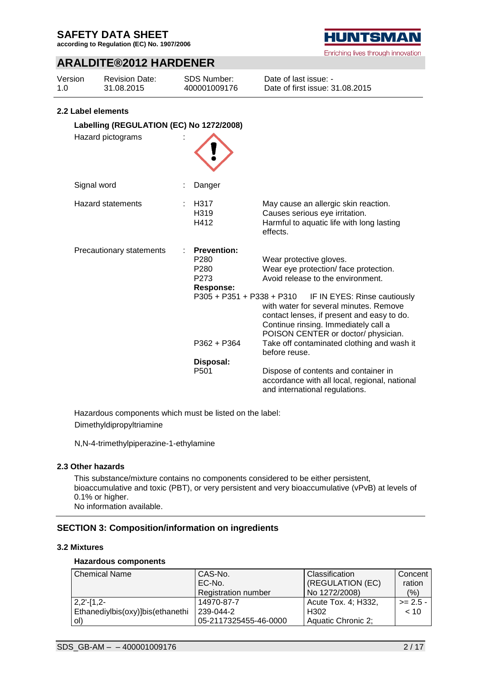**according to Regulation (EC) No. 1907/2006**



# **ARALDITE®2012 HARDENER**

| Version<br>1.0 | <b>Revision Date:</b><br>31.08.2015                           | <b>SDS Number:</b><br>400001009176                                            | Date of last issue: -<br>Date of first issue: 31.08.2015                                                                                                                                                                                                                                                                                                                                                |
|----------------|---------------------------------------------------------------|-------------------------------------------------------------------------------|---------------------------------------------------------------------------------------------------------------------------------------------------------------------------------------------------------------------------------------------------------------------------------------------------------------------------------------------------------------------------------------------------------|
|                | 2.2 Label elements                                            |                                                                               |                                                                                                                                                                                                                                                                                                                                                                                                         |
|                | Labelling (REGULATION (EC) No 1272/2008)<br>Hazard pictograms |                                                                               |                                                                                                                                                                                                                                                                                                                                                                                                         |
|                | Signal word                                                   | Danger                                                                        |                                                                                                                                                                                                                                                                                                                                                                                                         |
|                | <b>Hazard statements</b>                                      | H317<br>H319<br>H412                                                          | May cause an allergic skin reaction.<br>Causes serious eye irritation.<br>Harmful to aquatic life with long lasting<br>effects.                                                                                                                                                                                                                                                                         |
|                | Precautionary statements                                      | <b>Prevention:</b><br>P280<br>P280<br>P273<br><b>Response:</b><br>P362 + P364 | Wear protective gloves.<br>Wear eye protection/face protection.<br>Avoid release to the environment.<br>P305 + P351 + P338 + P310<br>IF IN EYES: Rinse cautiously<br>with water for several minutes. Remove<br>contact lenses, if present and easy to do.<br>Continue rinsing. Immediately call a<br>POISON CENTER or doctor/ physician.<br>Take off contaminated clothing and wash it<br>before reuse. |
|                |                                                               | Disposal:<br>P <sub>501</sub>                                                 | Dispose of contents and container in<br>accordance with all local, regional, national<br>and international regulations.                                                                                                                                                                                                                                                                                 |

Hazardous components which must be listed on the label: Dimethyldipropyltriamine

N,N-4-trimethylpiperazine-1-ethylamine

#### **2.3 Other hazards**

This substance/mixture contains no components considered to be either persistent, bioaccumulative and toxic (PBT), or very persistent and very bioaccumulative (vPvB) at levels of 0.1% or higher. No information available.

#### **SECTION 3: Composition/information on ingredients**

#### **3.2 Mixtures**

#### **Hazardous components**

| <b>Chemical Name</b>             | CAS-No.                    | Classification      | Concent    |
|----------------------------------|----------------------------|---------------------|------------|
|                                  | EC-No.                     | (REGULATION (EC)    | ration     |
|                                  | <b>Registration number</b> | No 1272/2008)       | (% )       |
| $ 2,2'-1,2-$                     | 14970-87-7                 | Acute Tox. 4; H332, | $>= 2.5 -$ |
| Ethanediylbis(oxy)]bis(ethanethi | 239-044-2                  | H <sub>302</sub>    | < 10       |
| ol)                              | 05-2117325455-46-0000      | Aquatic Chronic 2;  |            |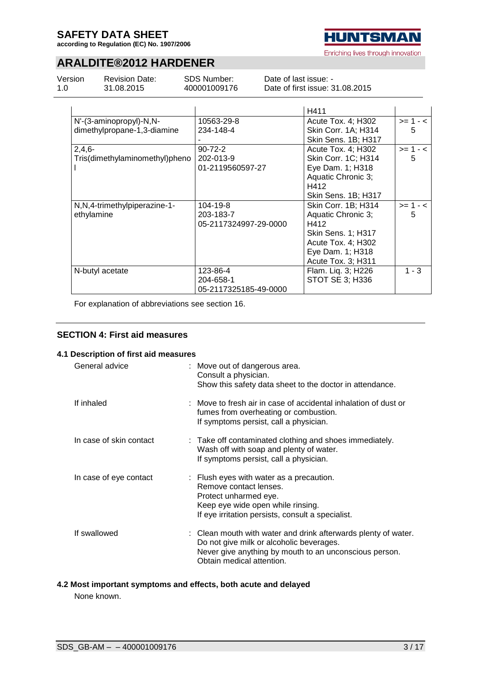**according to Regulation (EC) No. 1907/2006**

# **HUNTSMAN** Enriching lives through innovation

 $\mathbf{I}$ 

 $\overline{\phantom{a}}$ 

# **ARALDITE®2012 HARDENER**

| Version<br>1.0 | <b>Revision Date:</b><br>31.08.2015 | SDS Number:<br>400001009176 | Date of last issue: -<br>Date of first issue: 31.08.2015 |
|----------------|-------------------------------------|-----------------------------|----------------------------------------------------------|
|                |                                     |                             | H411                                                     |
|                | NI (2 aminonropul) N N              | 1050000                     | $\Lambda$ outo Toy $\Lambda$ . LIGO                      |

| N'-(3-aminopropyl)-N,N-        | 10563-29-8            | Acute Tox. 4; H302        | $>= 1 - 5$ |
|--------------------------------|-----------------------|---------------------------|------------|
| dimethylpropane-1,3-diamine    | 234-148-4             | Skin Corr. 1A; H314       | 5          |
|                                |                       | Skin Sens. 1B; H317       |            |
| $2,4,6-$                       | $90 - 72 - 2$         | Acute Tox. 4; H302        | $>= 1 - c$ |
| Tris(dimethylaminomethyl)pheno | 202-013-9             | Skin Corr. 1C; H314       | 5          |
|                                | 01-2119560597-27      | Eye Dam. 1; H318          |            |
|                                |                       | Aquatic Chronic 3;        |            |
|                                |                       | H412                      |            |
|                                |                       | Skin Sens. 1B; H317       |            |
| N,N,4-trimethylpiperazine-1-   | 104-19-8              | Skin Corr. 1B; H314       | $>= 1 - 5$ |
| ethylamine                     | 203-183-7             | Aquatic Chronic 3;        | 5          |
|                                | 05-2117324997-29-0000 | H412                      |            |
|                                |                       | <b>Skin Sens. 1; H317</b> |            |
|                                |                       | Acute Tox. 4; H302        |            |
|                                |                       | Eye Dam. 1; H318          |            |
|                                |                       | Acute Tox. 3; H311        |            |
| N-butyl acetate                | 123-86-4              | Flam. Liq. 3; H226        | $1 - 3$    |
|                                | 204-658-1             | STOT SE 3; H336           |            |
|                                | 05-2117325185-49-0000 |                           |            |

For explanation of abbreviations see section 16.

#### **SECTION 4: First aid measures**

#### **4.1 Description of first aid measures**

| General advice          | : Move out of dangerous area.<br>Consult a physician.<br>Show this safety data sheet to the doctor in attendance.                                                                                 |
|-------------------------|---------------------------------------------------------------------------------------------------------------------------------------------------------------------------------------------------|
| If inhaled              | : Move to fresh air in case of accidental inhalation of dust or<br>fumes from overheating or combustion.<br>If symptoms persist, call a physician.                                                |
| In case of skin contact | : Take off contaminated clothing and shoes immediately.<br>Wash off with soap and plenty of water.<br>If symptoms persist, call a physician.                                                      |
| In case of eye contact  | $\therefore$ Flush eyes with water as a precaution.<br>Remove contact lenses.<br>Protect unharmed eye.<br>Keep eye wide open while rinsing.<br>If eye irritation persists, consult a specialist.  |
| If swallowed            | : Clean mouth with water and drink afterwards plenty of water.<br>Do not give milk or alcoholic beverages.<br>Never give anything by mouth to an unconscious person.<br>Obtain medical attention. |

#### **4.2 Most important symptoms and effects, both acute and delayed**

None known.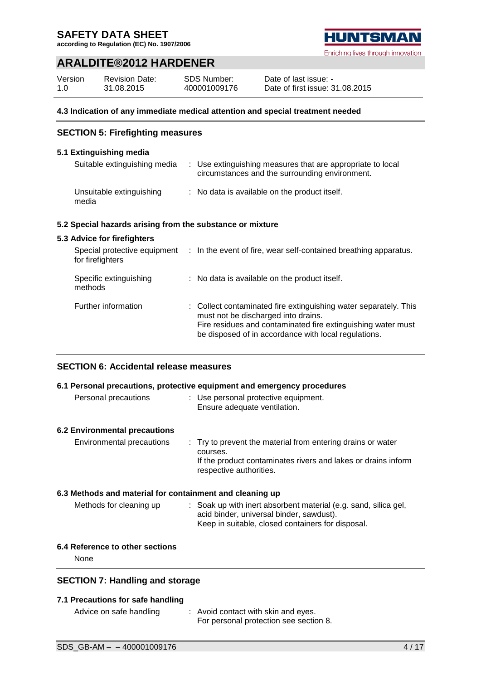**according to Regulation (EC) No. 1907/2006**

# **HUNTSMAN** Enriching lives through innovation

# **ARALDITE®2012 HARDENER**

| Version | <b>Revision Date:</b> | SDS Number:  | Date of last issue: -           |
|---------|-----------------------|--------------|---------------------------------|
| 1.0     | 31.08.2015            | 400001009176 | Date of first issue: 31,08,2015 |

#### **4.3 Indication of any immediate medical attention and special treatment needed**

#### **SECTION 5: Firefighting measures**

#### **5.1 Extinguishing media**

| Suitable extinguishing media      | : Use extinguishing measures that are appropriate to local<br>circumstances and the surrounding environment. |
|-----------------------------------|--------------------------------------------------------------------------------------------------------------|
| Unsuitable extinguishing<br>media | : No data is available on the product itself.                                                                |

#### **5.2 Special hazards arising from the substance or mixture**

#### **5.3 Advice for firefighters**

| Special protective equipment<br>for firefighters | : In the event of fire, wear self-contained breathing apparatus.                                                                                                                                                                |
|--------------------------------------------------|---------------------------------------------------------------------------------------------------------------------------------------------------------------------------------------------------------------------------------|
| Specific extinguishing<br>methods                | : No data is available on the product itself.                                                                                                                                                                                   |
| Further information                              | : Collect contaminated fire extinguishing water separately. This<br>must not be discharged into drains.<br>Fire residues and contaminated fire extinguishing water must<br>be disposed of in accordance with local regulations. |

#### **SECTION 6: Accidental release measures**

| 6.1 Personal precautions, protective equipment and emergency procedures |                                                                                                                                                                     |  |  |  |  |
|-------------------------------------------------------------------------|---------------------------------------------------------------------------------------------------------------------------------------------------------------------|--|--|--|--|
| Personal precautions                                                    | : Use personal protective equipment.<br>Ensure adequate ventilation.                                                                                                |  |  |  |  |
| <b>6.2 Environmental precautions</b>                                    |                                                                                                                                                                     |  |  |  |  |
| Environmental precautions                                               | : Try to prevent the material from entering drains or water<br>courses.<br>If the product contaminates rivers and lakes or drains inform<br>respective authorities. |  |  |  |  |
| 6.3 Methods and material for containment and cleaning up                |                                                                                                                                                                     |  |  |  |  |
| Methods for cleaning up                                                 | : Soak up with inert absorbent material (e.g. sand, silica gel,<br>acid binder, universal binder, sawdust).<br>Keep in suitable, closed containers for disposal.    |  |  |  |  |

#### **6.4 Reference to other sections**

None

#### **SECTION 7: Handling and storage**

#### **7.1 Precautions for safe handling**

Advice on safe handling : Avoid contact with skin and eyes. For personal protection see section 8.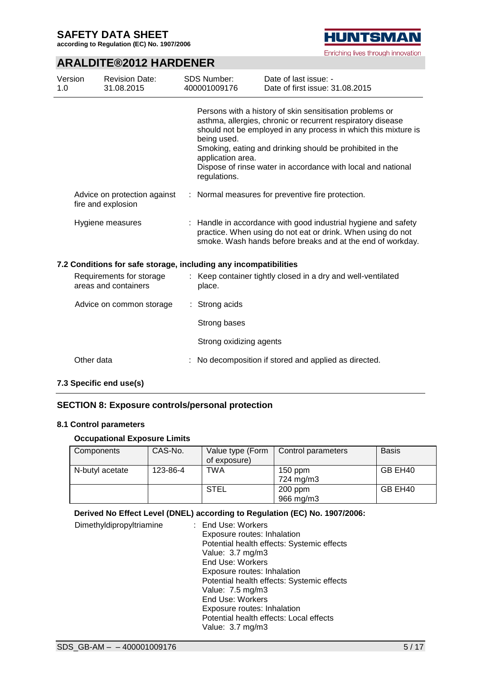**according to Regulation (EC) No. 1907/2006**



Enriching lives through innovation

# **ARALDITE®2012 HARDENER**

| Version<br>1.0 | <b>Revision Date:</b><br>31.08.2015                              | <b>SDS Number:</b><br>400001009176               | Date of last issue: -<br>Date of first issue: 31.08.2015                                                                                                                                                                                                                                                              |
|----------------|------------------------------------------------------------------|--------------------------------------------------|-----------------------------------------------------------------------------------------------------------------------------------------------------------------------------------------------------------------------------------------------------------------------------------------------------------------------|
|                |                                                                  | being used.<br>application area.<br>regulations. | Persons with a history of skin sensitisation problems or<br>asthma, allergies, chronic or recurrent respiratory disease<br>should not be employed in any process in which this mixture is<br>Smoking, eating and drinking should be prohibited in the<br>Dispose of rinse water in accordance with local and national |
|                | Advice on protection against<br>fire and explosion               |                                                  | : Normal measures for preventive fire protection.                                                                                                                                                                                                                                                                     |
|                | Hygiene measures                                                 |                                                  | : Handle in accordance with good industrial hygiene and safety<br>practice. When using do not eat or drink. When using do not<br>smoke. Wash hands before breaks and at the end of workday.                                                                                                                           |
|                | 7.2 Conditions for safe storage, including any incompatibilities |                                                  |                                                                                                                                                                                                                                                                                                                       |
|                | Requirements for storage<br>areas and containers                 | place.                                           | : Keep container tightly closed in a dry and well-ventilated                                                                                                                                                                                                                                                          |
|                | Advice on common storage                                         | : Strong acids                                   |                                                                                                                                                                                                                                                                                                                       |
|                |                                                                  | Strong bases                                     |                                                                                                                                                                                                                                                                                                                       |
|                |                                                                  | Strong oxidizing agents                          |                                                                                                                                                                                                                                                                                                                       |
|                | Other data                                                       |                                                  | No decomposition if stored and applied as directed.                                                                                                                                                                                                                                                                   |

#### **7.3 Specific end use(s)**

#### **SECTION 8: Exposure controls/personal protection**

#### **8.1 Control parameters**

#### **Occupational Exposure Limits**

| Components      | CAS-No.  | Value type (Form<br>of exposure) | Control parameters     | <b>Basis</b> |
|-----------------|----------|----------------------------------|------------------------|--------------|
| N-butyl acetate | 123-86-4 | TWA                              | $150$ ppm<br>724 mg/m3 | GB EH40      |
|                 |          | <b>STEL</b>                      | 200 ppm<br>966 mg/m3   | GB EH40      |

#### **Derived No Effect Level (DNEL) according to Regulation (EC) No. 1907/2006:**

| Value: 3.7 mg/m3<br>End Use: Workers<br>Exposure routes: Inhalation<br>Value: 7.5 mg/m3<br>End Use: Workers<br>Exposure routes: Inhalation<br>Potential health effects: Local effects<br>Value: $3.7 \text{ mg/m}$ 3 | Dimethyldipropyltriamine | : End Use: Workers<br>Exposure routes: Inhalation<br>Potential health effects: Systemic effects<br>Potential health effects: Systemic effects |  |
|----------------------------------------------------------------------------------------------------------------------------------------------------------------------------------------------------------------------|--------------------------|-----------------------------------------------------------------------------------------------------------------------------------------------|--|
|----------------------------------------------------------------------------------------------------------------------------------------------------------------------------------------------------------------------|--------------------------|-----------------------------------------------------------------------------------------------------------------------------------------------|--|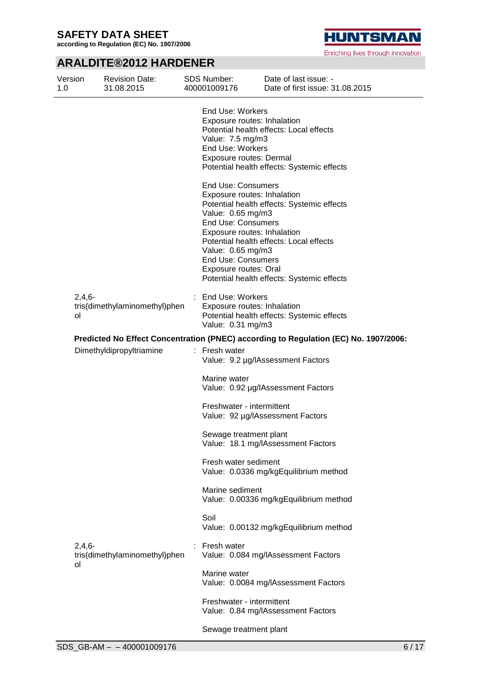**according to Regulation (EC) No. 1907/2006**



# **ARALDITE®2012 HARDENER**

| Version<br>1.0 |                | <b>Revision Date:</b><br>31.08.2015 | <b>SDS Number:</b><br>400001009176                                                                                                                                                                                   | Date of last issue: -<br>Date of first issue: 31.08.2015                                                                            |
|----------------|----------------|-------------------------------------|----------------------------------------------------------------------------------------------------------------------------------------------------------------------------------------------------------------------|-------------------------------------------------------------------------------------------------------------------------------------|
|                |                |                                     | End Use: Workers<br>Exposure routes: Inhalation<br>Value: 7.5 mg/m3<br>End Use: Workers<br><b>Exposure routes: Dermal</b>                                                                                            | Potential health effects: Local effects<br>Potential health effects: Systemic effects                                               |
|                |                |                                     | <b>End Use: Consumers</b><br>Exposure routes: Inhalation<br>Value: 0.65 mg/m3<br><b>End Use: Consumers</b><br>Exposure routes: Inhalation<br>Value: 0.65 mg/m3<br><b>End Use: Consumers</b><br>Exposure routes: Oral | Potential health effects: Systemic effects<br>Potential health effects: Local effects<br>Potential health effects: Systemic effects |
|                | $2,4,6-$<br>ol | tris(dimethylaminomethyl)phen       | End Use: Workers<br>Exposure routes: Inhalation<br>Value: 0.31 mg/m3                                                                                                                                                 | Potential health effects: Systemic effects                                                                                          |
|                |                |                                     |                                                                                                                                                                                                                      | Predicted No Effect Concentration (PNEC) according to Regulation (EC) No. 1907/2006:                                                |
|                |                | Dimethyldipropyltriamine            | Fresh water                                                                                                                                                                                                          | Value: 9.2 µg/lAssessment Factors                                                                                                   |
|                |                |                                     | Marine water                                                                                                                                                                                                         | Value: 0.92 µg/lAssessment Factors                                                                                                  |
|                |                |                                     | Freshwater - intermittent                                                                                                                                                                                            | Value: 92 µg/lAssessment Factors                                                                                                    |
|                |                |                                     | Sewage treatment plant                                                                                                                                                                                               | Value: 18.1 mg/lAssessment Factors                                                                                                  |
|                |                |                                     | Fresh water sediment                                                                                                                                                                                                 | Value: 0.0336 mg/kgEquilibrium method                                                                                               |
|                |                |                                     | Marine sediment                                                                                                                                                                                                      | Value: 0.00336 mg/kgEquilibrium method                                                                                              |
|                |                |                                     | Soil                                                                                                                                                                                                                 | Value: 0.00132 mg/kgEquilibrium method                                                                                              |
|                | $2,4,6-$<br>οI | tris(dimethylaminomethyl)phen       | : Fresh water                                                                                                                                                                                                        | Value: 0.084 mg/lAssessment Factors                                                                                                 |
|                |                |                                     | Marine water                                                                                                                                                                                                         | Value: 0.0084 mg/lAssessment Factors                                                                                                |
|                |                |                                     | Freshwater - intermittent                                                                                                                                                                                            | Value: 0.84 mg/lAssessment Factors                                                                                                  |
|                |                |                                     | Sewage treatment plant                                                                                                                                                                                               |                                                                                                                                     |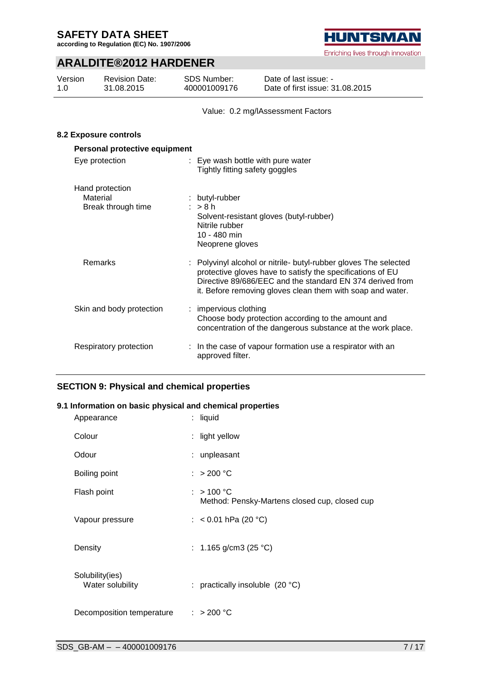**according to Regulation (EC) No. 1907/2006**

# **HUNTSMAN**

Enriching lives through innovation

# **ARALDITE®2012 HARDENER**

| Version | <b>Revision Date:</b> | <b>SDS Number:</b> | Date of last issue: -           |
|---------|-----------------------|--------------------|---------------------------------|
| 1.0     | 31.08.2015            | 400001009176       | Date of first issue: 31,08,2015 |

Value: 0.2 mg/lAssessment Factors

#### **8.2 Exposure controls**

| Personal protective equipment                     |                                                                                                                                                                                                                                                           |  |  |  |  |
|---------------------------------------------------|-----------------------------------------------------------------------------------------------------------------------------------------------------------------------------------------------------------------------------------------------------------|--|--|--|--|
| Eye protection                                    | : Eye wash bottle with pure water<br>Tightly fitting safety goggles                                                                                                                                                                                       |  |  |  |  |
| Hand protection<br>Material<br>Break through time | : butyl-rubber<br>$:$ > 8 h<br>Solvent-resistant gloves (butyl-rubber)<br>Nitrile rubber<br>10 - 480 min<br>Neoprene gloves                                                                                                                               |  |  |  |  |
| <b>Remarks</b>                                    | : Polyvinyl alcohol or nitrile- butyl-rubber gloves The selected<br>protective gloves have to satisfy the specifications of EU<br>Directive 89/686/EEC and the standard EN 374 derived from<br>it. Before removing gloves clean them with soap and water. |  |  |  |  |
| Skin and body protection                          | : impervious clothing<br>Choose body protection according to the amount and<br>concentration of the dangerous substance at the work place.                                                                                                                |  |  |  |  |
| Respiratory protection                            | : In the case of vapour formation use a respirator with an<br>approved filter.                                                                                                                                                                            |  |  |  |  |

#### **SECTION 9: Physical and chemical properties**

#### **9.1 Information on basic physical and chemical properties**

| Appearance                          | : liquid                                                    |
|-------------------------------------|-------------------------------------------------------------|
| Colour                              | : light yellow                                              |
| Odour                               | : unpleasant                                                |
| Boiling point                       | : $> 200 °C$                                                |
| Flash point                         | : > 100 °C<br>Method: Pensky-Martens closed cup, closed cup |
| Vapour pressure                     | : $< 0.01$ hPa (20 °C)                                      |
| Density                             | : 1.165 g/cm3 (25 °C)                                       |
| Solubility(ies)<br>Water solubility | : practically insoluble $(20 °C)$                           |
| Decomposition temperature           | : > 200 °C                                                  |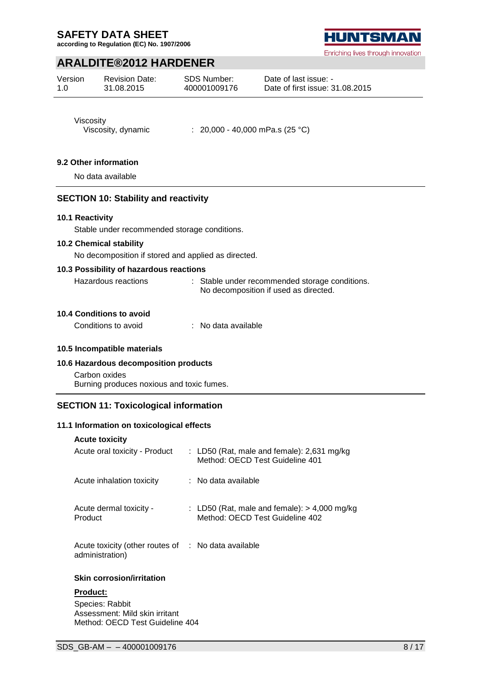**according to Regulation (EC) No. 1907/2006**

# **ARALDITE®2012 HARDENER**

| Version | <b>Revision Date:</b> |
|---------|-----------------------|
| 1.0     | 31.08.2015            |

400001009176

Date of last issue: - Date of first issue: 31.08.2015

Viscosity<br>Viscosity, dynamic

:  $20,000 - 40,000$  mPa.s (25 °C)

#### **9.2 Other information**

No data available

#### **SECTION 10: Stability and reactivity**

#### **10.1 Reactivity**

Stable under recommended storage conditions.

#### **10.2 Chemical stability**

No decomposition if stored and applied as directed.

#### **10.3 Possibility of hazardous reactions**

Hazardous reactions : Stable under recommended storage conditions. No decomposition if used as directed.

#### **10.4 Conditions to avoid**

| Conditions to avoid | No data available |
|---------------------|-------------------|
|---------------------|-------------------|

#### **10.5 Incompatible materials**

#### **10.6 Hazardous decomposition products**

Carbon oxides Burning produces noxious and toxic fumes.

#### **SECTION 11: Toxicological information**

#### **11.1 Information on toxicological effects**

| <b>Acute toxicity</b><br>Acute oral toxicity - Product                            | : LD50 (Rat, male and female): $2,631$ mg/kg<br>Method: OECD Test Guideline 401   |
|-----------------------------------------------------------------------------------|-----------------------------------------------------------------------------------|
| Acute inhalation toxicity                                                         | ∶ No data available                                                               |
| Acute dermal toxicity -<br>Product                                                | : LD50 (Rat, male and female): $>$ 4,000 mg/kg<br>Method: OECD Test Guideline 402 |
| Acute toxicity (other routes of $\therefore$ No data available<br>administration) |                                                                                   |
| <b>Skin corrosion/irritation</b>                                                  |                                                                                   |

#### **Product:**

Species: Rabbit Assessment: Mild skin irritant Method: OECD Test Guideline 404



SDS Number: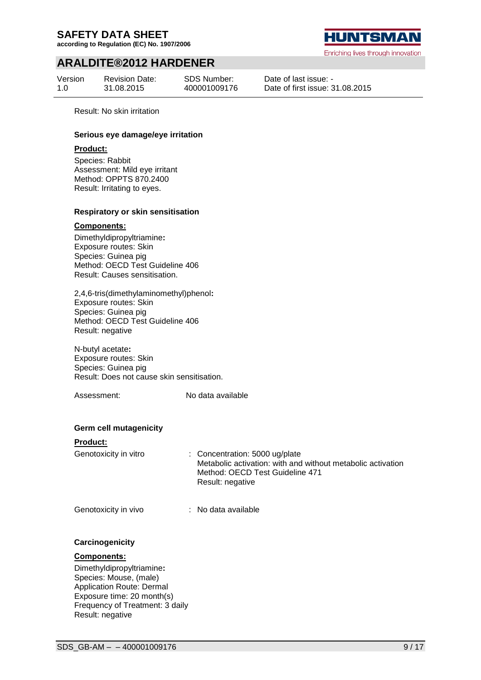**according to Regulation (EC) No. 1907/2006**

# **ARALDITE®2012 HARDENER**

Version 1.0

Revision Date: 31.08.2015



Enriching lives through innovation

Date of last issue: - Date of first issue: 31.08.2015

Result: No skin irritation

#### **Serious eye damage/eye irritation**

#### **Product:**

Species: Rabbit Assessment: Mild eye irritant Method: OPPTS 870.2400 Result: Irritating to eyes.

#### **Respiratory or skin sensitisation**

#### **Components:**

Dimethyldipropyltriamine**:** Exposure routes: Skin Species: Guinea pig Method: OECD Test Guideline 406 Result: Causes sensitisation.

2,4,6-tris(dimethylaminomethyl)phenol**:** Exposure routes: Skin Species: Guinea pig Method: OECD Test Guideline 406 Result: negative

N-butyl acetate**:** Exposure routes: Skin Species: Guinea pig Result: Does not cause skin sensitisation.

Assessment: No data available

SDS Number: 400001009176

#### **Germ cell mutagenicity**

#### **Product:**

| Genotoxicity in vitro | $\therefore$ Concentration: 5000 ug/plate<br>Metabolic activation: with and without metabolic activation<br>Method: OECD Test Guideline 471 |
|-----------------------|---------------------------------------------------------------------------------------------------------------------------------------------|
|                       | Result: negative                                                                                                                            |

Genotoxicity in vivo : No data available

#### **Carcinogenicity**

#### **Components:**

Dimethyldipropyltriamine**:** Species: Mouse, (male) Application Route: Dermal Exposure time: 20 month(s) Frequency of Treatment: 3 daily Result: negative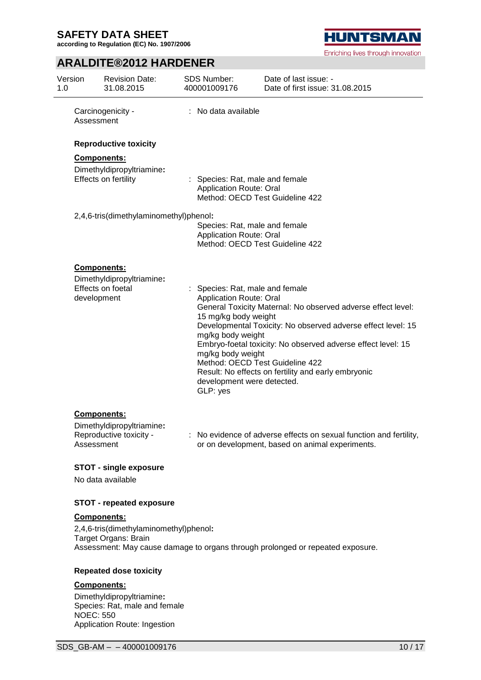**according to Regulation (EC) No. 1907/2006**

### **ARALDITE®2012 HARDENER**



#### **Components:**

| Dimethyldipropyltriamine: |                                                                    |
|---------------------------|--------------------------------------------------------------------|
| Reproductive toxicity -   | : No evidence of adverse effects on sexual function and fertility, |
| Assessment                | or on development, based on animal experiments.                    |

#### **STOT - single exposure**

No data available

#### **STOT - repeated exposure**

#### **Components:**

2,4,6-tris(dimethylaminomethyl)phenol**:** Target Organs: Brain Assessment: May cause damage to organs through prolonged or repeated exposure.

#### **Repeated dose toxicity**

#### **Components:**

Dimethyldipropyltriamine**:** Species: Rat, male and female NOEC: 550 Application Route: Ingestion



Enriching lives through innovation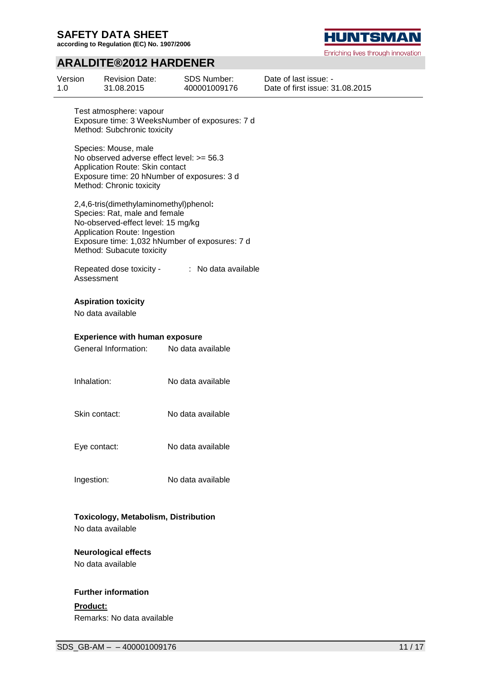**according to Regulation (EC) No. 1907/2006**

# **ARALDITE®2012 HARDENER**

| Version | <b>Revision Date:</b> | <b>SDS Number:</b> | Date |
|---------|-----------------------|--------------------|------|
| -1.0    | 31.08.2015            | 400001009176       | Date |

Test atmosphere: vapour Exposure time: 3 WeeksNumber of exposures: 7 d Method: Subchronic toxicity

Species: Mouse, male No observed adverse effect level: >= 56.3 Application Route: Skin contact Exposure time: 20 hNumber of exposures: 3 d Method: Chronic toxicity

2,4,6-tris(dimethylaminomethyl)phenol**:** Species: Rat, male and female No-observed-effect level: 15 mg/kg Application Route: Ingestion Exposure time: 1,032 hNumber of exposures: 7 d Method: Subacute toxicity

Repeated dose toxicity - Assessment : No data available

#### **Aspiration toxicity**

No data available

#### **Experience with human exposure**

| General Information: | No data available |
|----------------------|-------------------|
| Inhalation:          | No data available |
| Skin contact:        | No data available |

- Eye contact: No data available
- Ingestion: No data available

# **Toxicology, Metabolism, Distribution**

No data available

#### **Neurological effects** No data available

#### **Further information**

**Product:** Remarks: No data available



Enriching lives through innovation

of last issue: of first issue: 31.08.2015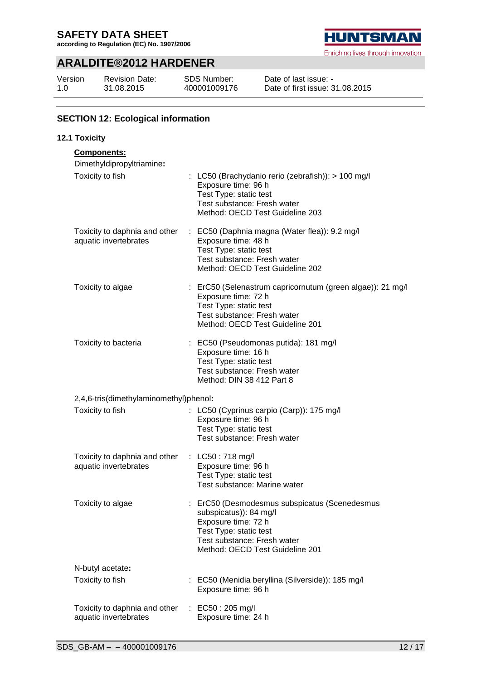**according to Regulation (EC) No. 1907/2006**

# **ARALDITE®2012 HARDENER**

| Version | <b>Revision Date:</b> | <b>SDS Number:</b> |
|---------|-----------------------|--------------------|
| 1.0     | 31.08.2015            | 400001009176       |

# **HUNTSMAN**

Enriching lives through innovation

Date of last issue: - Date of first issue: 31.08.2015

### **SECTION 12: Ecological information**

#### **12.1 Toxicity**

| <b>Components:</b>                                     |                                                                                                                                                                                            |
|--------------------------------------------------------|--------------------------------------------------------------------------------------------------------------------------------------------------------------------------------------------|
| Dimethyldipropyltriamine:                              |                                                                                                                                                                                            |
| Toxicity to fish                                       | : LC50 (Brachydanio rerio (zebrafish)): > 100 mg/l<br>Exposure time: 96 h<br>Test Type: static test<br>Test substance: Fresh water<br>Method: OECD Test Guideline 203                      |
| Toxicity to daphnia and other<br>aquatic invertebrates | : EC50 (Daphnia magna (Water flea)): 9.2 mg/l<br>Exposure time: 48 h<br>Test Type: static test<br>Test substance: Fresh water<br>Method: OECD Test Guideline 202                           |
| Toxicity to algae                                      | : ErC50 (Selenastrum capricornutum (green algae)): 21 mg/l<br>Exposure time: 72 h<br>Test Type: static test<br>Test substance: Fresh water<br>Method: OECD Test Guideline 201              |
| Toxicity to bacteria                                   | : EC50 (Pseudomonas putida): 181 mg/l<br>Exposure time: 16 h<br>Test Type: static test<br>Test substance: Fresh water<br>Method: DIN 38 412 Part 8                                         |
| 2,4,6-tris(dimethylaminomethyl)phenol:                 |                                                                                                                                                                                            |
| Toxicity to fish                                       | : LC50 (Cyprinus carpio (Carp)): 175 mg/l<br>Exposure time: 96 h<br>Test Type: static test<br>Test substance: Fresh water                                                                  |
| Toxicity to daphnia and other<br>aquatic invertebrates | : LC50 : 718 mg/l<br>Exposure time: 96 h<br>Test Type: static test<br>Test substance: Marine water                                                                                         |
| Toxicity to algae                                      | : ErC50 (Desmodesmus subspicatus (Scenedesmus<br>subspicatus)): 84 mg/l<br>Exposure time: 72 h<br>Test Type: static test<br>Test substance: Fresh water<br>Method: OECD Test Guideline 201 |
| N-butyl acetate:                                       |                                                                                                                                                                                            |
| Toxicity to fish                                       | : EC50 (Menidia beryllina (Silverside)): 185 mg/l<br>Exposure time: 96 h                                                                                                                   |
| Toxicity to daphnia and other<br>aquatic invertebrates | : EC50 : 205 mg/l<br>Exposure time: 24 h                                                                                                                                                   |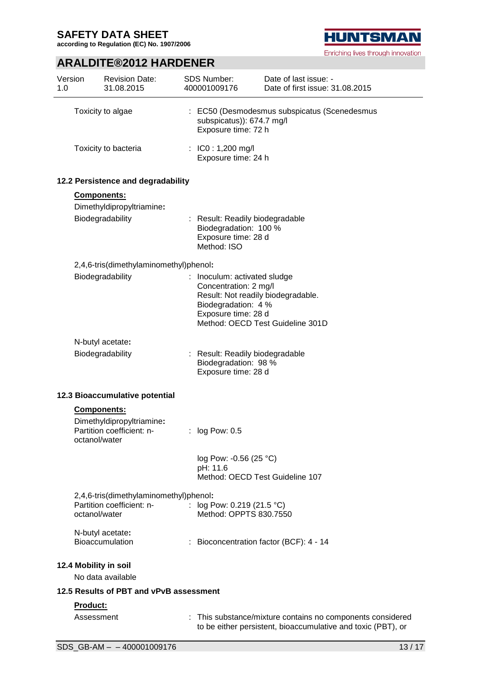**according to Regulation (EC) No. 1907/2006**

# **ARALDITE®2012 HARDENER**

| 1.0 | Version       | <b>Revision Date:</b><br>31.08.2015                    | <b>SDS Number:</b><br>400001009176                                                                  | Date of last issue: -<br>Date of first issue: 31.08.2015                                                                   |
|-----|---------------|--------------------------------------------------------|-----------------------------------------------------------------------------------------------------|----------------------------------------------------------------------------------------------------------------------------|
|     |               | Toxicity to algae                                      | subspicatus)): 674.7 mg/l<br>Exposure time: 72 h                                                    | : EC50 (Desmodesmus subspicatus (Scenedesmus                                                                               |
|     |               | Toxicity to bacteria                                   | : IC0 : 1,200 mg/l<br>Exposure time: 24 h                                                           |                                                                                                                            |
|     |               | 12.2 Persistence and degradability                     |                                                                                                     |                                                                                                                            |
|     |               | <b>Components:</b>                                     |                                                                                                     |                                                                                                                            |
|     |               | Dimethyldipropyltriamine:                              |                                                                                                     |                                                                                                                            |
|     |               | Biodegradability                                       | : Result: Readily biodegradable<br>Biodegradation: 100 %<br>Exposure time: 28 d<br>Method: ISO      |                                                                                                                            |
|     |               | 2,4,6-tris(dimethylaminomethyl)phenol:                 |                                                                                                     |                                                                                                                            |
|     |               | Biodegradability                                       | : Inoculum: activated sludge<br>Concentration: 2 mg/l<br>Biodegradation: 4 %<br>Exposure time: 28 d | Result: Not readily biodegradable.<br>Method: OECD Test Guideline 301D                                                     |
|     |               | N-butyl acetate:                                       |                                                                                                     |                                                                                                                            |
|     |               | Biodegradability                                       | Result: Readily biodegradable<br>Biodegradation: 98 %<br>Exposure time: 28 d                        |                                                                                                                            |
|     |               | 12.3 Bioaccumulative potential                         |                                                                                                     |                                                                                                                            |
|     |               | <b>Components:</b>                                     |                                                                                                     |                                                                                                                            |
|     | octanol/water | Dimethyldipropyltriamine:<br>Partition coefficient: n- | $:$ log Pow: $0.5$                                                                                  |                                                                                                                            |
|     |               |                                                        | log Pow: -0.56 (25 °C)<br>pH: 11.6                                                                  | Method: OECD Test Guideline 107                                                                                            |
|     |               | 2,4,6-tris(dimethylaminomethyl)phenol:                 |                                                                                                     |                                                                                                                            |
|     | octanol/water | Partition coefficient: n-                              | : $log Pow: 0.219 (21.5 °C)$<br>Method: OPPTS 830.7550                                              |                                                                                                                            |
|     |               | N-butyl acetate:<br>Bioaccumulation                    |                                                                                                     | : Bioconcentration factor (BCF): 4 - 14                                                                                    |
|     |               | 12.4 Mobility in soil<br>No data available             |                                                                                                     |                                                                                                                            |
|     |               | 12.5 Results of PBT and vPvB assessment                |                                                                                                     |                                                                                                                            |
|     | Product:      |                                                        |                                                                                                     |                                                                                                                            |
|     | Assessment    |                                                        |                                                                                                     | : This substance/mixture contains no components considered<br>to be either persistent, bioaccumulative and toxic (PBT), or |



Enriching lives through innovation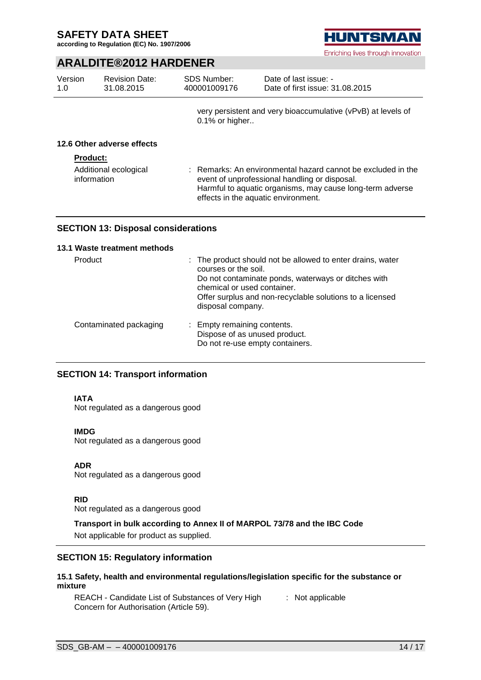**according to Regulation (EC) No. 1907/2006**

# **ARALDITE®2012 HARDENER**

| Version | <b>Revision Date:</b> | SDS Number:  | Date of last issue: -                                        |  |
|---------|-----------------------|--------------|--------------------------------------------------------------|--|
| 1 O     | 31.08.2015            | 400001009176 | Date of first issue: 31.08.2015                              |  |
|         |                       |              | very persistent and very bioaccumulative (vPvB) at levels of |  |

0.1% or higher..

#### **12.6 Other adverse effects**

#### **Product:**

| Additional ecological | : Remarks: An environmental hazard cannot be excluded in the |  |
|-----------------------|--------------------------------------------------------------|--|
| information           | event of unprofessional handling or disposal.                |  |
|                       | Harmful to aquatic organisms, may cause long-term adverse    |  |
|                       | effects in the aquatic environment.                          |  |

#### **SECTION 13: Disposal considerations**

| 13.1 Waste treatment methods |                                                                                                                                                                                                                                                           |
|------------------------------|-----------------------------------------------------------------------------------------------------------------------------------------------------------------------------------------------------------------------------------------------------------|
| Product                      | : The product should not be allowed to enter drains, water<br>courses or the soil.<br>Do not contaminate ponds, waterways or ditches with<br>chemical or used container.<br>Offer surplus and non-recyclable solutions to a licensed<br>disposal company. |
| Contaminated packaging       | : Empty remaining contents.<br>Dispose of as unused product.<br>Do not re-use empty containers.                                                                                                                                                           |

### **SECTION 14: Transport information**

#### **IATA**

Not regulated as a dangerous good

#### **IMDG**

Not regulated as a dangerous good

#### **ADR**

Not regulated as a dangerous good

#### **RID**

Not regulated as a dangerous good

**Transport in bulk according to Annex II of MARPOL 73/78 and the IBC Code** Not applicable for product as supplied.

#### **SECTION 15: Regulatory information**

#### **15.1 Safety, health and environmental regulations/legislation specific for the substance or mixture**

REACH - Candidate List of Substances of Very High Concern for Authorisation (Article 59). : Not applicable



Enriching lives through innovation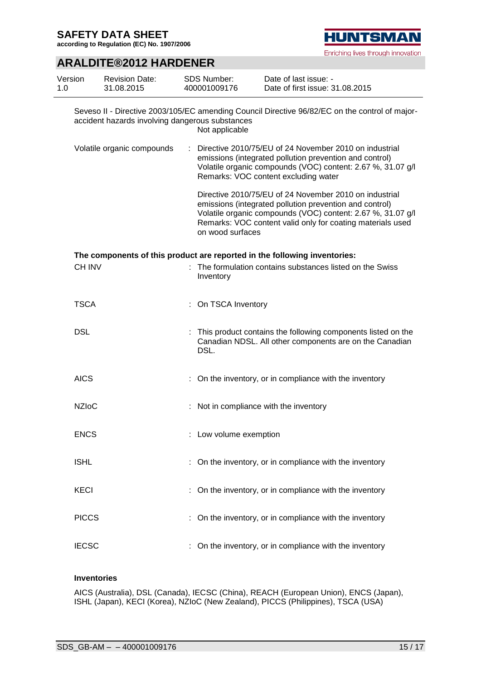**according to Regulation (EC) No. 1907/2006**



# **ARALDITE®2012 HARDENER**

| 1.0 | Version<br><b>Revision Date:</b><br>31.08.2015 |                                                 | <b>SDS Number:</b><br>400001009176 | Date of last issue: -<br>Date of first issue: 31.08.2015                                                                                                                                                                                       |  |
|-----|------------------------------------------------|-------------------------------------------------|------------------------------------|------------------------------------------------------------------------------------------------------------------------------------------------------------------------------------------------------------------------------------------------|--|
|     |                                                | accident hazards involving dangerous substances | Not applicable                     | Seveso II - Directive 2003/105/EC amending Council Directive 96/82/EC on the control of major-                                                                                                                                                 |  |
|     |                                                | Volatile organic compounds                      |                                    | Directive 2010/75/EU of 24 November 2010 on industrial<br>emissions (integrated pollution prevention and control)<br>Volatile organic compounds (VOC) content: 2.67 %, 31.07 g/l<br>Remarks: VOC content excluding water                       |  |
|     |                                                |                                                 | on wood surfaces                   | Directive 2010/75/EU of 24 November 2010 on industrial<br>emissions (integrated pollution prevention and control)<br>Volatile organic compounds (VOC) content: 2.67 %, 31.07 g/l<br>Remarks: VOC content valid only for coating materials used |  |
|     |                                                |                                                 |                                    | The components of this product are reported in the following inventories:                                                                                                                                                                      |  |
|     | <b>CH INV</b>                                  |                                                 | Inventory                          | The formulation contains substances listed on the Swiss                                                                                                                                                                                        |  |
|     | <b>TSCA</b>                                    |                                                 | : On TSCA Inventory                |                                                                                                                                                                                                                                                |  |
|     | <b>DSL</b>                                     |                                                 | DSL.                               | This product contains the following components listed on the<br>Canadian NDSL. All other components are on the Canadian                                                                                                                        |  |
|     | <b>AICS</b>                                    |                                                 |                                    | : On the inventory, or in compliance with the inventory                                                                                                                                                                                        |  |
|     | <b>NZIoC</b>                                   |                                                 |                                    | : Not in compliance with the inventory                                                                                                                                                                                                         |  |
|     | <b>ENCS</b>                                    |                                                 | : Low volume exemption             |                                                                                                                                                                                                                                                |  |
|     | <b>ISHL</b>                                    |                                                 |                                    | : On the inventory, or in compliance with the inventory                                                                                                                                                                                        |  |
|     | KECI                                           |                                                 |                                    | On the inventory, or in compliance with the inventory                                                                                                                                                                                          |  |
|     | <b>PICCS</b>                                   |                                                 |                                    | : On the inventory, or in compliance with the inventory                                                                                                                                                                                        |  |
|     | <b>IECSC</b>                                   |                                                 |                                    | On the inventory, or in compliance with the inventory                                                                                                                                                                                          |  |

#### **Inventories**

AICS (Australia), DSL (Canada), IECSC (China), REACH (European Union), ENCS (Japan), ISHL (Japan), KECI (Korea), NZIoC (New Zealand), PICCS (Philippines), TSCA (USA)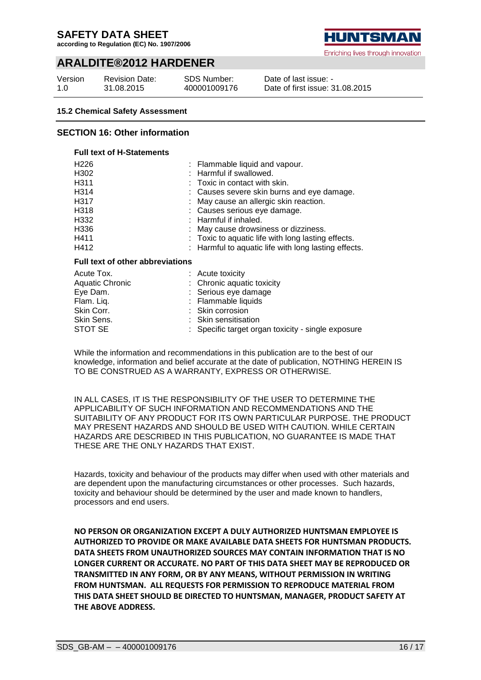**according to Regulation (EC) No. 1907/2006**

# **ARALDITE®2012 HARDENER**

| Version | <b>Revision Date:</b> | SDS Number:  | Date of last issue: -           |
|---------|-----------------------|--------------|---------------------------------|
| 1.0     | 31.08.2015            | 400001009176 | Date of first issue: 31,08,2015 |

#### **15.2 Chemical Safety Assessment**

#### **SECTION 16: Other information**

#### **Full text of H-Statements**

| H226                             |  | : Flammable liquid and vapour.                       |  |  |
|----------------------------------|--|------------------------------------------------------|--|--|
| H302                             |  | : Harmful if swallowed.                              |  |  |
| H311                             |  | : Toxic in contact with skin.                        |  |  |
| H314                             |  | : Causes severe skin burns and eye damage.           |  |  |
| H317                             |  | : May cause an allergic skin reaction.               |  |  |
| H318                             |  | : Causes serious eye damage.                         |  |  |
| H332                             |  | $:$ Harmful if inhaled.                              |  |  |
| H336                             |  | : May cause drowsiness or dizziness.                 |  |  |
| H411                             |  | : Toxic to aquatic life with long lasting effects.   |  |  |
| H412                             |  | : Harmful to aquatic life with long lasting effects. |  |  |
| Full text of other abbreviations |  |                                                      |  |  |
| Acute Tox.                       |  | $:$ Acute toxicity                                   |  |  |
| Aquatic Chronic                  |  | : Chronic aquatic toxicity                           |  |  |
| Eye Dam.                         |  | : Serious eye damage                                 |  |  |
| Flam. Liq.                       |  | : Flammable liquids                                  |  |  |
|                                  |  |                                                      |  |  |

- Skin Corr. **: Skin corrosion**
- Skin Sens. The Skin sensitisation<br>STOT SE Specific target orc
	- : Specific target organ toxicity single exposure

While the information and recommendations in this publication are to the best of our knowledge, information and belief accurate at the date of publication, NOTHING HEREIN IS TO BE CONSTRUED AS A WARRANTY, EXPRESS OR OTHERWISE.

IN ALL CASES, IT IS THE RESPONSIBILITY OF THE USER TO DETERMINE THE APPLICABILITY OF SUCH INFORMATION AND RECOMMENDATIONS AND THE SUITABILITY OF ANY PRODUCT FOR ITS OWN PARTICULAR PURPOSE. THE PRODUCT MAY PRESENT HAZARDS AND SHOULD BE USED WITH CAUTION. WHILE CERTAIN HAZARDS ARE DESCRIBED IN THIS PUBLICATION, NO GUARANTEE IS MADE THAT THESE ARE THE ONLY HAZARDS THAT EXIST.

Hazards, toxicity and behaviour of the products may differ when used with other materials and are dependent upon the manufacturing circumstances or other processes. Such hazards, toxicity and behaviour should be determined by the user and made known to handlers, processors and end users.

**NO PERSON OR ORGANIZATION EXCEPT A DULY AUTHORIZED HUNTSMAN EMPLOYEE IS AUTHORIZED TO PROVIDE OR MAKE AVAILABLE DATA SHEETS FOR HUNTSMAN PRODUCTS. DATA SHEETS FROM UNAUTHORIZED SOURCES MAY CONTAIN INFORMATION THAT IS NO LONGER CURRENT OR ACCURATE. NO PART OF THIS DATA SHEET MAY BE REPRODUCED OR TRANSMITTED IN ANY FORM, OR BY ANY MEANS, WITHOUT PERMISSION IN WRITING FROM HUNTSMAN. ALL REQUESTS FOR PERMISSION TO REPRODUCE MATERIAL FROM THIS DATA SHEET SHOULD BE DIRECTED TO HUNTSMAN, MANAGER, PRODUCT SAFETY AT THE ABOVE ADDRESS.**



Enriching lives through innovation

 $SDS GB-AM - -400001009176$  16 / 17